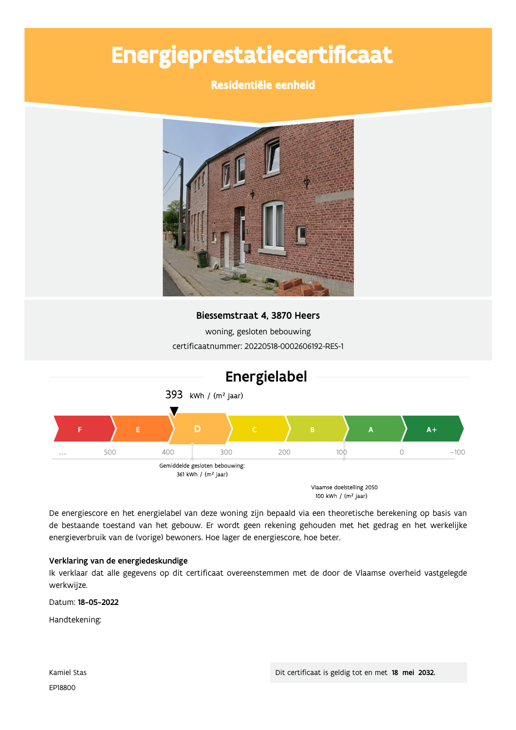# Energieprestatiecertificaat

### Residentiële eenheid



Biessemstraat 4, 3870 Heers

woning, gesloten bebouwing certificaatnummer: 20220518-0002606192-RES-1



De energiescore en het energielabel van deze woning zijn bepaald via een theoretische berekening op basis van de bestaande toestand van het gebouw. Er wordt geen rekening gehouden met het gedrag en het werkelijke energieverbruik van de (vorige) bewoners. Hoe lager de energiescore, hoe beter.

#### Verklaring van de energiedeskundige

Ik verklaar dat alle gegevens op dit certificaat overeenstemmen met de door de Vlaamse overheid vastgelegde werkwijze.

Datum: 18-05-2022

Handtekening: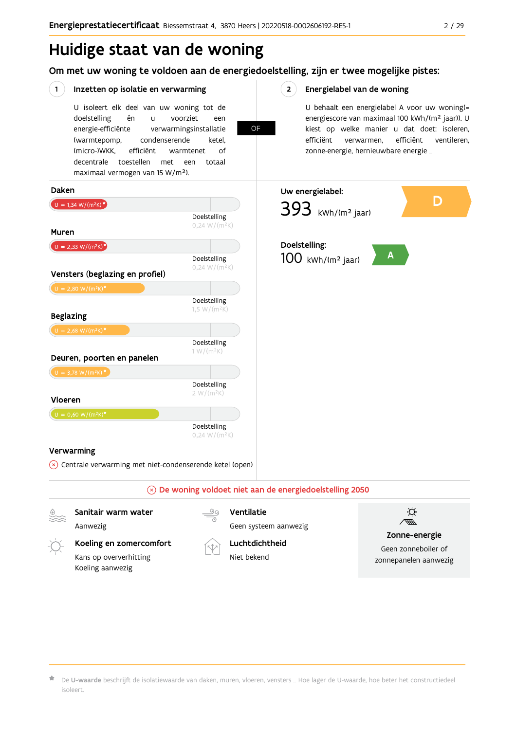## Huidige staat van de woning

Om met uw woning te voldoen aan de energiedoelstelling, zijn er twee mogelijke pistes:

**OF** 

#### $(1)$ Inzetten op isolatie en verwarming

U isoleert elk deel van uw woning tot de doelstelling én voorziet  $\mathbf{u}$ een energie-efficiënte verwarmingsinstallatie (warmtepomp, condenserende ketel. (micro-)WKK. efficiënt warmtenet  $\bigcap_{ }$ decentrale toestellen met een totaal maximaal vermogen van 15 W/m<sup>2</sup>).

 $2^{\circ}$ Energielabel van de woning

> U behaalt een energielabel A voor uw woning(= energiescore van maximaal 100 kWh/(m<sup>2</sup> jaar)). U kiest op welke manier u dat doet: isoleren, efficiënt efficiënt ventileren, verwarmen, zonne-energie, hernieuwbare energie ...



Aanwezig



Ventilatie

Geen systeem aanwezig

Koeling en zomercomfort Kans op oververhitting Koeling aanwezig



Luchtdichtheid Niet bekend



Zonne-energie

Geen zonneboiler of zonnepanelen aanwezig

De U-waarde beschrijft de isolatiewaarde van daken, muren, vloeren, vensters ... Hoe lager de U-waarde, hoe beter het constructiedeel isoleert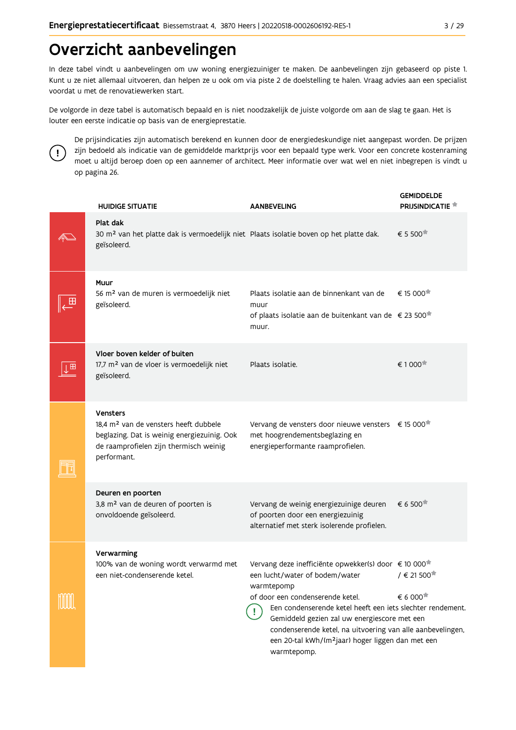## Overzicht aanbevelingen

In deze tabel vindt u aanbevelingen om uw woning energiezuiniger te maken. De aanbevelingen zijn gebaseerd op piste 1. Kunt u ze niet allemaal uitvoeren, dan helpen ze u ook om via piste 2 de doelstelling te halen. Vraag advies aan een specialist voordat u met de renovatiewerken start.

De volgorde in deze tabel is automatisch bepaald en is niet noodzakelijk de juiste volgorde om aan de slag te gaan. Het is louter een eerste indicatie op basis van de energieprestatie.



De prijsindicaties zijn automatisch berekend en kunnen door de energiedeskundige niet aangepast worden. De prijzen zijn bedoeld als indicatie van de gemiddelde marktprijs voor een bepaald type werk. Voor een concrete kostenraming moet u altijd beroep doen op een aannemer of architect. Meer informatie over wat wel en niet inbegrepen is vindt u op pagina 26.

| <b>HUIDIGE SITUATIE</b>                                                                                                                                                      | <b>AANBEVELING</b>                                                                                                                                                                                                                                                                                                                                                                                               | <b>GEMIDDELDE</b><br>PRIJSINDICATIE <sup>*</sup>                                             |
|------------------------------------------------------------------------------------------------------------------------------------------------------------------------------|------------------------------------------------------------------------------------------------------------------------------------------------------------------------------------------------------------------------------------------------------------------------------------------------------------------------------------------------------------------------------------------------------------------|----------------------------------------------------------------------------------------------|
| Plat dak<br>30 m <sup>2</sup> van het platte dak is vermoedelijk niet Plaats isolatie boven op het platte dak.<br>geïsoleerd.                                                |                                                                                                                                                                                                                                                                                                                                                                                                                  | € 5 500                                                                                      |
| Muur<br>56 m <sup>2</sup> van de muren is vermoedelijk niet<br>geïsoleerd.                                                                                                   | Plaats isolatie aan de binnenkant van de<br>muur<br>of plaats isolatie aan de buitenkant van de € 23 500 <sup>*</sup><br>muur.                                                                                                                                                                                                                                                                                   | € 15 000                                                                                     |
| Vloer boven kelder of buiten<br>17,7 m <sup>2</sup> van de vloer is vermoedelijk niet<br>geïsoleerd.                                                                         | Plaats isolatie.                                                                                                                                                                                                                                                                                                                                                                                                 | € 1 000                                                                                      |
| <b>Vensters</b><br>18,4 m <sup>2</sup> van de vensters heeft dubbele<br>beglazing. Dat is weinig energiezuinig. Ook<br>de raamprofielen zijn thermisch weinig<br>performant. | Vervang de vensters door nieuwe vensters € 15 000 <sup>*</sup><br>met hoogrendementsbeglazing en<br>energieperformante raamprofielen.                                                                                                                                                                                                                                                                            |                                                                                              |
| Deuren en poorten<br>3,8 m <sup>2</sup> van de deuren of poorten is<br>onvoldoende geïsoleerd.                                                                               | Vervang de weinig energiezuinige deuren<br>of poorten door een energiezuinig<br>alternatief met sterk isolerende profielen.                                                                                                                                                                                                                                                                                      | € 6 500                                                                                      |
| Verwarming<br>100% van de woning wordt verwarmd met<br>een niet-condenserende ketel.                                                                                         | Vervang deze inefficiënte opwekker(s) door € 10 000 <sup>*</sup><br>een lucht/water of bodem/water<br>warmtepomp<br>of door een condenserende ketel.<br>Een condenserende ketel heeft een iets slechter rendement.<br>Gemiddeld gezien zal uw energiescore met een<br>condenserende ketel, na uitvoering van alle aanbevelingen,<br>een 20-tal kWh/(m <sup>2</sup> jaar) hoger liggen dan met een<br>warmtepomp. | $/$ € 21 500 <sup><math>\star</math></sup><br>$\epsilon$ 6 000 <sup><math>\star</math></sup> |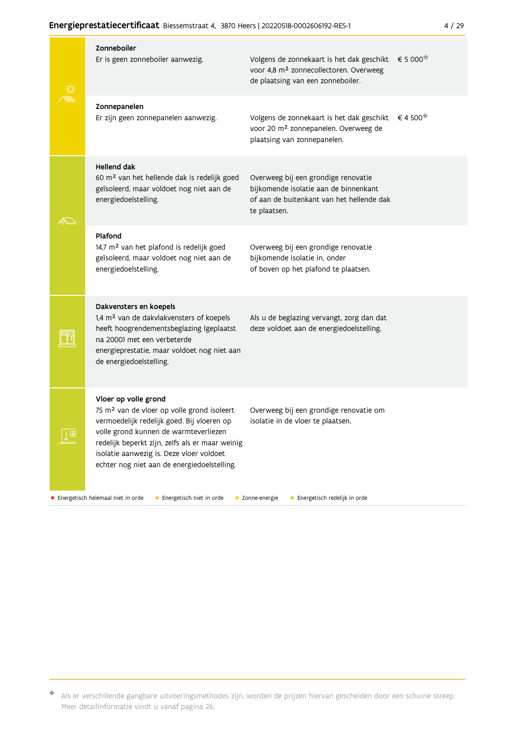#### Energieprestatiecertificaat Biessemstraat 4, 3870 Heers | 20220518-0002606192-RES-1

|  | <b>Zonneboiler</b><br>Er is geen zonneboiler aanwezig.                                                                                                                                                                                                                                                              | Volgens de zonnekaart is het dak geschikt<br>voor 4,8 m <sup>2</sup> zonnecollectoren. Overweeg<br>de plaatsing van een zonneboiler.      | € 5 000 |
|--|---------------------------------------------------------------------------------------------------------------------------------------------------------------------------------------------------------------------------------------------------------------------------------------------------------------------|-------------------------------------------------------------------------------------------------------------------------------------------|---------|
|  | Zonnepanelen<br>Er zijn geen zonnepanelen aanwezig.                                                                                                                                                                                                                                                                 | Volgens de zonnekaart is het dak geschikt<br>voor 20 m <sup>2</sup> zonnepanelen. Overweeg de<br>plaatsing van zonnepanelen.              | €4500   |
|  | <b>Hellend dak</b><br>60 m <sup>2</sup> van het hellende dak is redelijk goed<br>geïsoleerd, maar voldoet nog niet aan de<br>energiedoelstelling.                                                                                                                                                                   | Overweeg bij een grondige renovatie<br>bijkomende isolatie aan de binnenkant<br>of aan de buitenkant van het hellende dak<br>te plaatsen. |         |
|  | Plafond<br>14,7 m <sup>2</sup> van het plafond is redelijk goed<br>geïsoleerd, maar voldoet nog niet aan de<br>energiedoelstelling.                                                                                                                                                                                 | Overweeg bij een grondige renovatie<br>bijkomende isolatie in, onder<br>of boven op het plafond te plaatsen.                              |         |
|  | Dakvensters en koepels<br>1,4 m <sup>2</sup> van de dakvlakvensters of koepels<br>heeft hoogrendementsbeglazing (geplaatst<br>na 2000) met een verbeterde<br>energieprestatie, maar voldoet nog niet aan<br>de energiedoelstelling.                                                                                 | Als u de beglazing vervangt, zorg dan dat<br>deze voldoet aan de energiedoelstelling.                                                     |         |
|  | Vloer op volle grond<br>75 m <sup>2</sup> van de vloer op volle grond isoleert<br>vermoedelijk redelijk goed. Bij vloeren op<br>volle grond kunnen de warmteverliezen<br>redelijk beperkt zijn, zelfs als er maar weinig<br>isolatie aanwezig is. Deze vloer voldoet<br>echter nog niet aan de energiedoelstelling. | Overweeg bij een grondige renovatie om<br>isolatie in de vloer te plaatsen.                                                               |         |

· Energetisch helemaal niet in orde

• Energetisch niet in orde

• Zonne-energie

• Energetisch redelijk in orde

\* Als er verschillende gangbare uitvoeringsmethodes zijn, worden de prijzen hiervan gescheiden door een schuine streep. Meer detailinformatie vindt u vanaf pagina 26.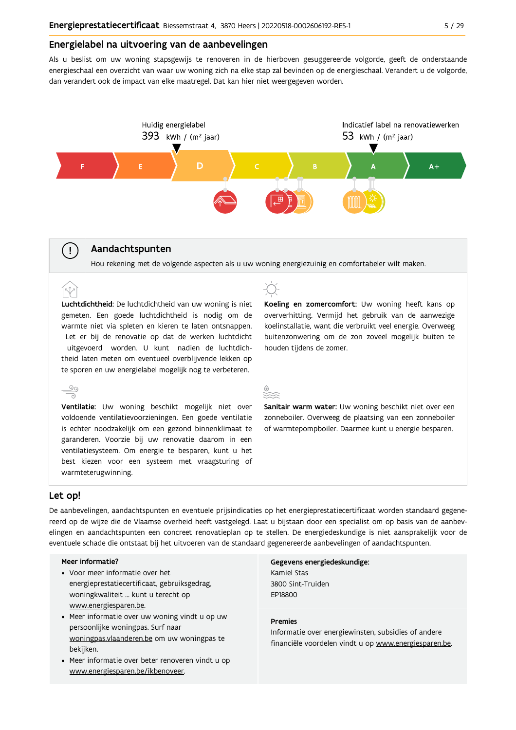#### Energielabel na uitvoering van de aanbevelingen

Als u beslist om uw woning stapsgewijs te renoveren in de hierboven gesuggereerde volgorde, geeft de onderstaande energieschaal een overzicht van waar uw woning zich na elke stap zal bevinden op de energieschaal. Verandert u de volgorde, dan verandert ook de impact van elke maatregel. Dat kan hier niet weergegeven worden.



#### Aandachtspunten

Hou rekening met de volgende aspecten als u uw woning energiezuinig en comfortabeler wilt maken.

Luchtdichtheid: De luchtdichtheid van uw woning is niet gemeten. Een goede luchtdichtheid is nodig om de warmte niet via spleten en kieren te laten ontsnappen. Let er bij de renovatie op dat de werken luchtdicht uitgevoerd worden. U kunt nadien de luchtdichtheid laten meten om eventueel overblijvende lekken op te sporen en uw energielabel mogelijk nog te verbeteren.



voldoende ventilatievoorzieningen. Een goede ventilatie is echter noodzakelijk om een gezond binnenklimaat te garanderen. Voorzie bij uw renovatie daarom in een ventilatiesysteem. Om energie te besparen, kunt u het best kiezen voor een systeem met vraagsturing of warmteterugwinning.



Koeling en zomercomfort: Uw woning heeft kans op oververhitting. Vermijd het gebruik van de aanwezige koelinstallatie, want die verbruikt veel energie. Overweeg buitenzonwering om de zon zoveel mogelijk buiten te houden tiidens de zomer.

Sanitair warm water: Uw woning beschikt niet over een zonneboiler. Overweeg de plaatsing van een zonneboiler of warmtepompboiler. Daarmee kunt u energie besparen.

#### Let op!

 $(\bot)$ 

 $\hat{N}$ 

De aanbevelingen, aandachtspunten en eventuele prijsindicaties op het energieprestatiecertificaat worden standaard gegenereerd op de wijze die de Vlaamse overheid heeft vastgelegd. Laat u bijstaan door een specialist om op basis van de aanbevelingen en aandachtspunten een concreet renovatieplan op te stellen. De energiedeskundige is niet aansprakelijk voor de eventuele schade die ontstaat bij het uitvoeren van de standaard gegenereerde aanbevelingen of aandachtspunten.

#### Meer informatie?

- Voor meer informatie over het energieprestatiecertificaat, gebruiksgedrag, woningkwaliteit ... kunt u terecht op www.energiesparen.be.
- Meer informatie over uw woning vindt u op uw persoonlijke woningpas. Surf naar woningpas.vlaanderen.be om uw woningpas te bekijken.
- Meer informatie over beter renoveren vindt u op www.energiesparen.be/ikbenoveer.

Gegevens energiedeskundige: Kamiel Stas 3800 Sint-Truiden **FP18800** 

#### **Premies**

Informatie over energiewinsten, subsidies of andere financiële voordelen vindt u op www.energiesparen.be.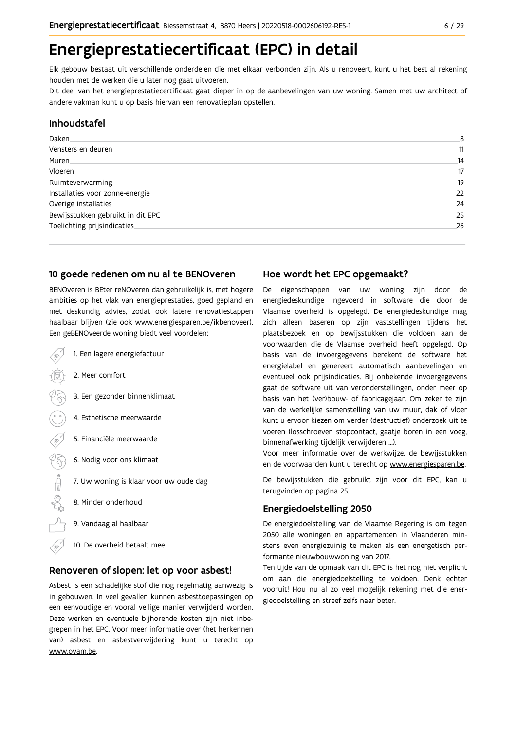## Energieprestatiecertificaat (EPC) in detail

Elk gebouw bestaat uit verschillende onderdelen die met elkaar verbonden zijn. Als u renoveert, kunt u het best al rekening houden met de werken die u later nog gaat uitvoeren.

Dit deel van het energieprestatiecertificaat gaat dieper in op de aanbevelingen van uw woning. Samen met uw architect of andere vakman kunt u op basis hiervan een renovatieplan opstellen.

#### Inhoudstafel

| Daken.                            | 8  |
|-----------------------------------|----|
| Vensters en deuren                | 11 |
| Muren                             | 14 |
| <b>Vloeren</b>                    | 17 |
| Ruimteverwarming                  | 19 |
| Installaties voor zonne-energie.  | 22 |
| Overige installaties              | 24 |
| Bewijsstukken gebruikt in dit EPC | 25 |
| Toelichting prijsindicaties       | 26 |
|                                   |    |

#### 10 goede redenen om nu al te BENOveren

BENOveren is BEter reNOveren dan gebruikelijk is, met hogere ambities op het vlak van energieprestaties, goed gepland en met deskundig advies, zodat ook latere renovatiestappen haalbaar blijven (zie ook www.energiesparen.be/ikbenoveer). Een geBENOveerde woning biedt veel voordelen:

- 1. Een lagere energiefactuur 2. Meer comfort 3. Een gezonder binnenklimaat 4. Esthetische meerwaarde 5. Financiële meerwaarde  $\sqrt{3}$ 6. Nodig voor ons klimaat  $\begin{picture}(150,10) \put(0,0){\line(1,0){10}} \put(15,0){\line(1,0){10}} \put(15,0){\line(1,0){10}} \put(15,0){\line(1,0){10}} \put(15,0){\line(1,0){10}} \put(15,0){\line(1,0){10}} \put(15,0){\line(1,0){10}} \put(15,0){\line(1,0){10}} \put(15,0){\line(1,0){10}} \put(15,0){\line(1,0){10}} \put(15,0){\line(1,0){10}} \put(15,0){\line($ 7. Uw woning is klaar voor uw oude dag 8. Minder onderhoud
	- 9. Vandaag al haalbaar
	- 10. De overheid betaalt mee

#### Renoveren of slopen: let op voor asbest!

Asbest is een schadelijke stof die nog regelmatig aanwezig is in gebouwen. In veel gevallen kunnen asbesttoepassingen op een eenvoudige en vooral veilige manier verwijderd worden. Deze werken en eventuele bijhorende kosten zijn niet inbegrepen in het EPC. Voor meer informatie over (het herkennen van) asbest en asbestverwijdering kunt u terecht op www.ovam.be.

#### Hoe wordt het EPC opgemaakt?

De eigenschappen van uw woning zijn door de energiedeskundige ingevoerd in software die door de Vlaamse overheid is opgelegd. De energiedeskundige mag zich alleen baseren op zijn vaststellingen tijdens het plaatsbezoek en op bewijsstukken die voldoen aan de voorwaarden die de Vlaamse overheid heeft opgelegd. Op basis van de invoergegevens berekent de software het energielabel en genereert automatisch aanbevelingen en eventueel ook prijsindicaties. Bij onbekende invoergegevens gaat de software uit van veronderstellingen, onder meer op basis van het (ver)bouw- of fabricagejaar. Om zeker te zijn van de werkelijke samenstelling van uw muur, dak of vloer kunt u ervoor kiezen om verder (destructief) onderzoek uit te voeren (losschroeven stopcontact, gaatje boren in een voeg, binnenafwerking tijdelijk verwijderen ...).

Voor meer informatie over de werkwijze, de bewijsstukken en de voorwaarden kunt u terecht op www.energiesparen.be.

De bewijsstukken die gebruikt zijn voor dit EPC, kan u terugvinden op pagina 25.

### **Energiedoelstelling 2050**

De energiedoelstelling van de Vlaamse Regering is om tegen 2050 alle woningen en appartementen in Vlaanderen minstens even energiezuinig te maken als een energetisch performante nieuwbouwwoning van 2017.

Ten tijde van de opmaak van dit EPC is het nog niet verplicht om aan die energiedoelstelling te voldoen. Denk echter vooruit! Hou nu al zo veel mogelijk rekening met die energiedoelstelling en streef zelfs naar beter.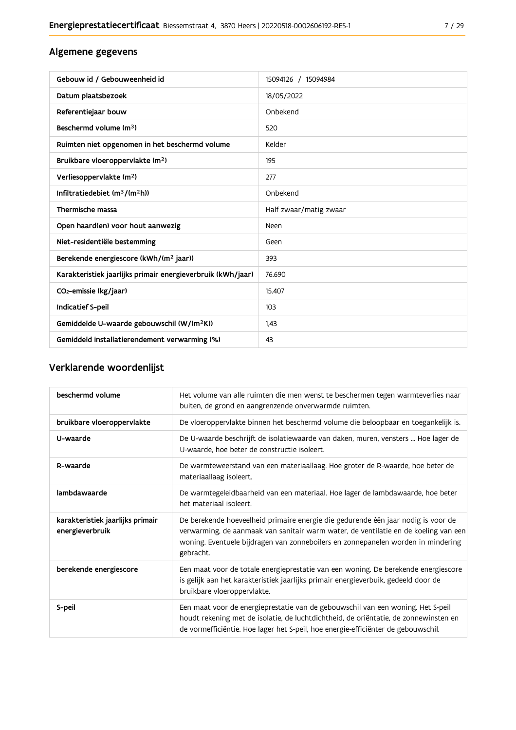### Algemene gegevens

| Gebouw id / Gebouweenheid id                                | 15094126 / 15094984    |
|-------------------------------------------------------------|------------------------|
| Datum plaatsbezoek                                          | 18/05/2022             |
| Referentiejaar bouw                                         | Onbekend               |
| Beschermd volume (m <sup>3</sup> )                          | 520                    |
| Ruimten niet opgenomen in het beschermd volume              | Kelder                 |
| Bruikbare vloeroppervlakte (m <sup>2</sup> )                | 195                    |
| Verliesoppervlakte (m <sup>2</sup> )                        | 277                    |
| Infiltratiedebiet (m <sup>3</sup> /(m <sup>2</sup> h))      | Onbekend               |
| Thermische massa                                            | Half zwaar/matig zwaar |
| Open haard(en) voor hout aanwezig                           | Neen                   |
| Niet-residentiële bestemming                                | Geen                   |
| Berekende energiescore (kWh/(m <sup>2</sup> jaar))          | 393                    |
| Karakteristiek jaarlijks primair energieverbruik (kWh/jaar) | 76.690                 |
| CO <sub>2</sub> -emissie (kg/jaar)                          | 15.407                 |
| Indicatief S-peil                                           | 103                    |
| Gemiddelde U-waarde gebouwschil (W/(m <sup>2</sup> K))      | 1,43                   |
| Gemiddeld installatierendement verwarming (%)               | 43                     |

### Verklarende woordenlijst

| beschermd volume                                    | Het volume van alle ruimten die men wenst te beschermen tegen warmteverlies naar<br>buiten, de grond en aangrenzende onverwarmde ruimten.                                                                                                                                 |
|-----------------------------------------------------|---------------------------------------------------------------------------------------------------------------------------------------------------------------------------------------------------------------------------------------------------------------------------|
| bruikbare vloeroppervlakte                          | De vloeroppervlakte binnen het beschermd volume die beloopbaar en toegankelijk is.                                                                                                                                                                                        |
| U-waarde                                            | De U-waarde beschrijft de isolatiewaarde van daken, muren, vensters  Hoe lager de<br>U-waarde, hoe beter de constructie isoleert.                                                                                                                                         |
| R-waarde                                            | De warmteweerstand van een materiaallaag. Hoe groter de R-waarde, hoe beter de<br>materiaallaag isoleert.                                                                                                                                                                 |
| lambdawaarde                                        | De warmtegeleidbaarheid van een materiaal. Hoe lager de lambdawaarde, hoe beter<br>het materiaal isoleert.                                                                                                                                                                |
| karakteristiek jaarlijks primair<br>energieverbruik | De berekende hoeveelheid primaire energie die gedurende één jaar nodig is voor de<br>verwarming, de aanmaak van sanitair warm water, de ventilatie en de koeling van een<br>woning. Eventuele bijdragen van zonneboilers en zonnepanelen worden in mindering<br>gebracht. |
| berekende energiescore                              | Een maat voor de totale energieprestatie van een woning. De berekende energiescore<br>is gelijk aan het karakteristiek jaarlijks primair energieverbuik, gedeeld door de<br>bruikbare vloeroppervlakte.                                                                   |
| S-peil                                              | Een maat voor de energieprestatie van de gebouwschil van een woning. Het S-peil<br>houdt rekening met de isolatie, de luchtdichtheid, de oriëntatie, de zonnewinsten en<br>de vormefficiëntie. Hoe lager het S-peil, hoe energie-efficiënter de gebouwschil.              |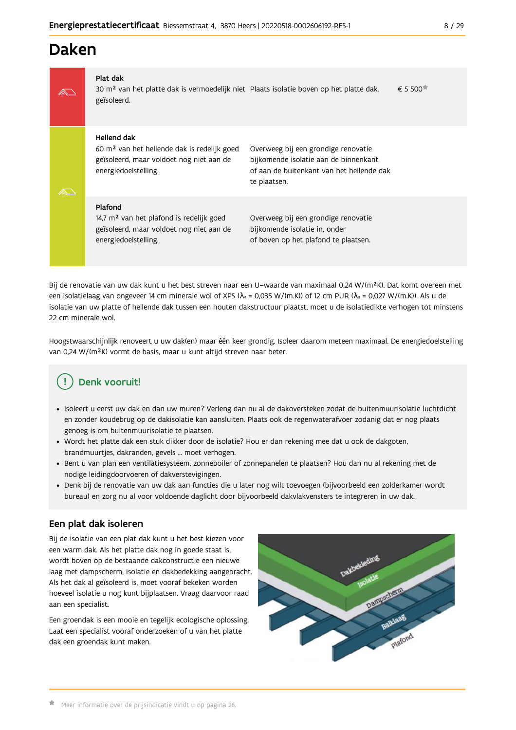## Daken

| Plat dak<br>30 m <sup>2</sup> van het platte dak is vermoedelijk niet Plaats isolatie boven op het platte dak.<br>geïsoleerd.              |                                                                                                                                           | € 5 500 <sup><math>\approx</math></sup> |
|--------------------------------------------------------------------------------------------------------------------------------------------|-------------------------------------------------------------------------------------------------------------------------------------------|-----------------------------------------|
| Hellend dak<br>60 m <sup>2</sup> van het hellende dak is redelijk goed<br>geïsoleerd, maar voldoet nog niet aan de<br>energiedoelstelling. | Overweeg bij een grondige renovatie<br>bijkomende isolatie aan de binnenkant<br>of aan de buitenkant van het hellende dak<br>te plaatsen. |                                         |
|                                                                                                                                            |                                                                                                                                           |                                         |

#### Plafond

14,7 m<sup>2</sup> van het plafond is redelijk goed geïsoleerd, maar voldoet nog niet aan de energiedoelstelling.

Overweeg bij een grondige renovatie bijkomende isolatie in, onder of boven op het plafond te plaatsen.

Bij de renovatie van uw dak kunt u het best streven naar een U-waarde van maximaal 0,24 W/(m<sup>2</sup>K). Dat komt overeen met een isolatielaag van ongeveer 14 cm minerale wol of XPS ( $\lambda_a$  = 0,035 W/(m.K)) of 12 cm PUR ( $\lambda_a$  = 0,027 W/(m.K)). Als u de isolatie van uw platte of hellende dak tussen een houten dakstructuur plaatst, moet u de isolatiedikte verhogen tot minstens 22 cm minerale wol.

Hoogstwaarschijnlijk renoveert u uw dak(en) maar één keer grondig. Isoleer daarom meteen maximaal. De energiedoelstelling van 0,24 W/(m<sup>2</sup>K) vormt de basis, maar u kunt altijd streven naar beter.

#### **Denk vooruit!** Ţ

- · Isoleert u eerst uw dak en dan uw muren? Verleng dan nu al de dakoversteken zodat de buitenmuurisolatie luchtdicht en zonder koudebrug op de dakisolatie kan aansluiten. Plaats ook de regenwaterafvoer zodanig dat er nog plaats genoeg is om buitenmuurisolatie te plaatsen.
- · Wordt het platte dak een stuk dikker door de isolatie? Hou er dan rekening mee dat u ook de dakgoten, brandmuurtjes, dakranden, gevels ... moet verhogen.
- · Bent u van plan een ventilatiesysteem, zonneboiler of zonnepanelen te plaatsen? Hou dan nu al rekening met de nodige leidingdoorvoeren of dakverstevigingen.
- · Denk bij de renovatie van uw dak aan functies die u later nog wilt toevoegen (bijvoorbeeld een zolderkamer wordt bureau) en zorg nu al voor voldoende daglicht door bijvoorbeeld dakvlakvensters te integreren in uw dak.

### Een plat dak isoleren

Bij de isolatie van een plat dak kunt u het best kiezen voor een warm dak. Als het platte dak nog in goede staat is, wordt boven op de bestaande dakconstructie een nieuwe laag met dampscherm, isolatie en dakbedekking aangebracht. Als het dak al geïsoleerd is, moet vooraf bekeken worden hoeveel isolatie u nog kunt bijplaatsen. Vraag daarvoor raad aan een specialist.

Een groendak is een mooie en tegelijk ecologische oplossing. Laat een specialist vooraf onderzoeken of u van het platte dak een groendak kunt maken.

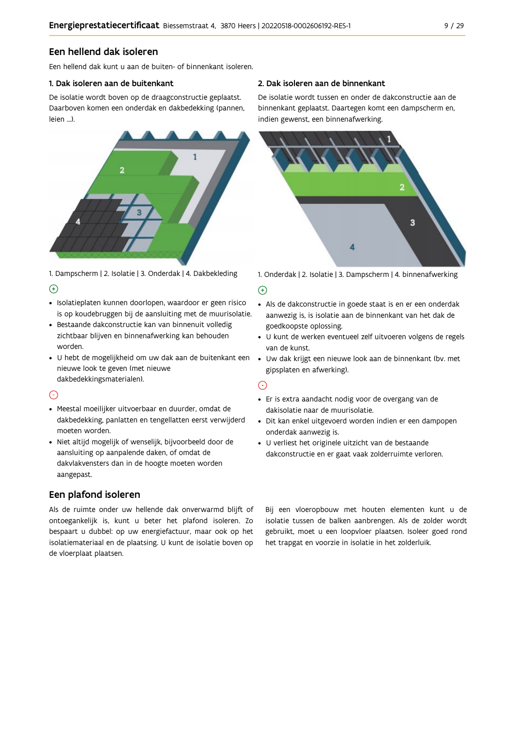#### Een hellend dak isoleren

Een hellend dak kunt u aan de buiten- of binnenkant isoleren.

#### 1. Dak isoleren aan de buitenkant

De isolatie wordt boven op de draagconstructie geplaatst. Daarboven komen een onderdak en dakbedekking (pannen, leien ...).



1. Dampscherm | 2. Isolatie | 3. Onderdak | 4. Dakbekleding  $\Theta$ 

- · Isolatieplaten kunnen doorlopen, waardoor er geen risico is op koudebruggen bij de aansluiting met de muurisolatie.
- · Bestaande dakconstructie kan van binnenuit volledig zichtbaar blijven en binnenafwerking kan behouden worden.
- · U hebt de mogelijkheid om uw dak aan de buitenkant een nieuwe look te geven (met nieuwe dakbedekkingsmaterialen).

#### $\odot$

- · Meestal moeilijker uitvoerbaar en duurder, omdat de dakbedekking, panlatten en tengellatten eerst verwijderd moeten worden.
- · Niet altijd mogelijk of wenselijk, bijvoorbeeld door de aansluiting op aanpalende daken, of omdat de dakvlakvensters dan in de hoogte moeten worden aangepast.

### Een plafond isoleren

Als de ruimte onder uw hellende dak onverwarmd blijft of ontoegankelijk is, kunt u beter het plafond isoleren. Zo bespaart u dubbel: op uw energiefactuur, maar ook op het isolatiemateriaal en de plaatsing. U kunt de isolatie boven op de vloerplaat plaatsen.

#### 2. Dak isoleren aan de binnenkant

De isolatie wordt tussen en onder de dakconstructie aan de binnenkant geplaatst. Daartegen komt een dampscherm en, indien gewenst, een binnenafwerking.



1. Onderdak | 2. Isolatie | 3. Dampscherm | 4. binnenafwerking

#### $\bigoplus$

- Als de dakconstructie in goede staat is en er een onderdak aanwezig is, is isolatie aan de binnenkant van het dak de goedkoopste oplossing.
- · U kunt de werken eventueel zelf uitvoeren volgens de regels van de kunst.
- · Uw dak krijgt een nieuwe look aan de binnenkant (bv. met gipsplaten en afwerking).

#### $\odot$

- · Er is extra aandacht nodig voor de overgang van de dakisolatie naar de muurisolatie.
- · Dit kan enkel uitgevoerd worden indien er een dampopen onderdak aanwezig is.
- · U verliest het originele uitzicht van de bestaande dakconstructie en er gaat vaak zolderruimte verloren.

Bij een vloeropbouw met houten elementen kunt u de isolatie tussen de balken aanbrengen. Als de zolder wordt gebruikt, moet u een loopvloer plaatsen. Isoleer goed rond het trapgat en voorzie in isolatie in het zolderluik.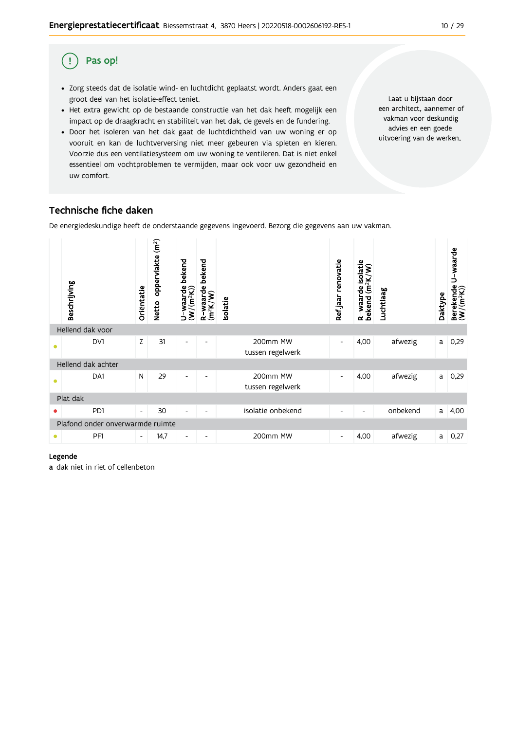#### $10/29$

#### Pas op! (!)

- · Zorg steeds dat de isolatie wind- en luchtdicht geplaatst wordt. Anders gaat een groot deel van het isolatie-effect teniet.
- Het extra gewicht op de bestaande constructie van het dak heeft mogelijk een impact op de draagkracht en stabiliteit van het dak, de gevels en de fundering.
- · Door het isoleren van het dak gaat de luchtdichtheid van uw woning er op vooruit en kan de luchtverversing niet meer gebeuren via spleten en kieren. Voorzie dus een ventilatiesysteem om uw woning te ventileren. Dat is niet enkel essentieel om vochtproblemen te vermijden, maar ook voor uw gezondheid en uw comfort.

Laat u bijstaan door een architect, aannemer of vakman voor deskundig advies en een goede uitvoering van de werken.

### Technische fiche daken

De energiedeskundige heeft de onderstaande gegevens ingevoerd. Bezorg die gegevens aan uw vakman.



#### Legende

a dak niet in riet of cellenbeton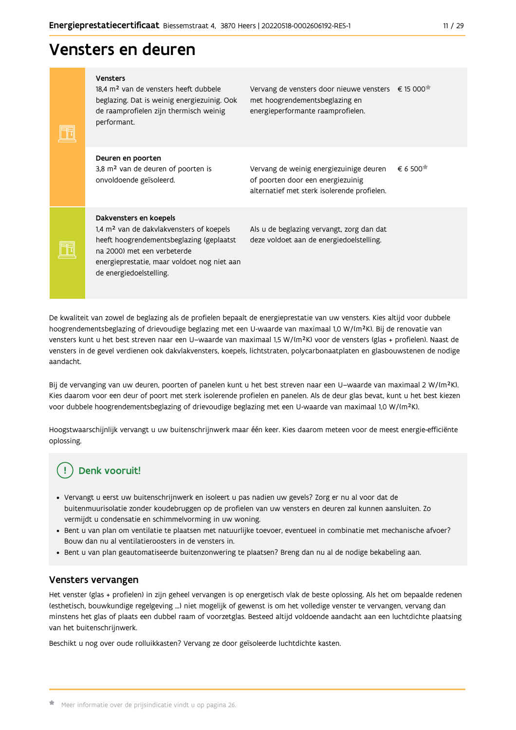## Vensters en deuren

|  | <b>Vensters</b><br>18.4 m <sup>2</sup> van de vensters heeft dubbele<br>beglazing. Dat is weinig energiezuinig. Ook<br>de raamprofielen zijn thermisch weinig<br>performant.                                                        | Vervang de vensters door nieuwe vensters € 15 000 <sup>*</sup><br>met hoogrendementsbeglazing en<br>energieperformante raamprofielen. |                             |
|--|-------------------------------------------------------------------------------------------------------------------------------------------------------------------------------------------------------------------------------------|---------------------------------------------------------------------------------------------------------------------------------------|-----------------------------|
|  | Deuren en poorten<br>3,8 m <sup>2</sup> van de deuren of poorten is<br>onvoldoende geïsoleerd.                                                                                                                                      | Vervang de weinig energiezuinige deuren<br>of poorten door een energiezuinig<br>alternatief met sterk isolerende profielen.           | $\epsilon$ 6.500 $^{\star}$ |
|  | Dakvensters en koepels<br>1,4 m <sup>2</sup> van de dakvlakvensters of koepels<br>heeft hoogrendementsbeglazing (geplaatst<br>na 2000) met een verbeterde<br>energieprestatie, maar voldoet nog niet aan<br>de energiedoelstelling. | Als u de beglazing vervangt, zorg dan dat<br>deze voldoet aan de energiedoelstelling.                                                 |                             |

De kwaliteit van zowel de beglazing als de profielen bepaalt de energieprestatie van uw vensters. Kies altijd voor dubbele hoogrendementsbeglazing of drievoudige beglazing met een U-waarde van maximaal 1,0 W/(m<sup>2</sup>K). Bij de renovatie van vensters kunt u het best streven naar een U-waarde van maximaal 1,5 W/(m<sup>2</sup>K) voor de vensters (glas + profielen). Naast de vensters in de gevel verdienen ook dakvlakvensters, koepels, lichtstraten, polycarbonaatplaten en glasbouwstenen de nodige aandacht.

Bij de vervanging van uw deuren, poorten of panelen kunt u het best streven naar een U-waarde van maximaal 2 W/(m<sup>2</sup>K). Kies daarom voor een deur of poort met sterk isolerende profielen en panelen. Als de deur glas bevat, kunt u het best kiezen voor dubbele hoogrendementsbeglazing of drievoudige beglazing met een U-waarde van maximaal 1,0 W/(m<sup>2</sup>K).

Hoogstwaarschijnlijk vervangt u uw buitenschrijnwerk maar één keer. Kies daarom meteen voor de meest energie-efficiënte oplossing.

### Denk vooruit!

- · Vervangt u eerst uw buitenschrijnwerk en isoleert u pas nadien uw gevels? Zorg er nu al voor dat de buitenmuurisolatie zonder koudebruggen op de profielen van uw vensters en deuren zal kunnen aansluiten. Zo vermijdt u condensatie en schimmelvorming in uw woning.
- Bent u van plan om ventilatie te plaatsen met natuurlijke toevoer, eventueel in combinatie met mechanische afvoer? Bouw dan nu al ventilatieroosters in de vensters in.
- · Bent u van plan geautomatiseerde buitenzonwering te plaatsen? Breng dan nu al de nodige bekabeling aan.

#### Vensters vervangen

Het venster (glas + profielen) in zijn geheel vervangen is op energetisch vlak de beste oplossing. Als het om bepaalde redenen (esthetisch, bouwkundige regelgeving ...) niet mogelijk of gewenst is om het volledige venster te vervangen, vervang dan minstens het glas of plaats een dubbel raam of voorzetglas. Besteed altijd voldoende aandacht aan een luchtdichte plaatsing van het buitenschrijnwerk.

Beschikt u nog over oude rolluikkasten? Vervang ze door geïsoleerde luchtdichte kasten.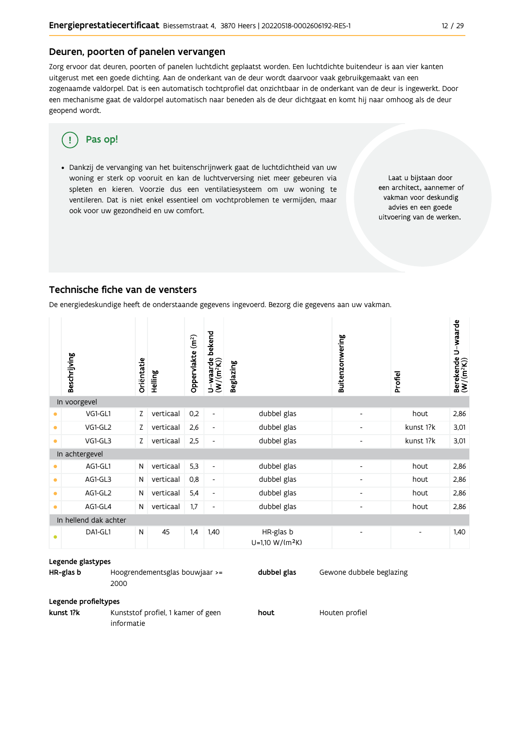#### Deuren, poorten of panelen vervangen

Zorg ervoor dat deuren, poorten of panelen luchtdicht geplaatst worden. Een luchtdichte buitendeur is aan vier kanten uitgerust met een goede dichting. Aan de onderkant van de deur wordt daarvoor vaak gebruikgemaakt van een zogenaamde valdorpel. Dat is een automatisch tochtprofiel dat onzichtbaar in de onderkant van de deur is ingewerkt. Door een mechanisme gaat de valdorpel automatisch naar beneden als de deur dichtgaat en komt hij naar omhoog als de deur geopend wordt.

#### Pas op! ΠŢ

· Dankzij de vervanging van het buitenschrijnwerk gaat de luchtdichtheid van uw woning er sterk op vooruit en kan de luchtverversing niet meer gebeuren via spleten en kieren. Voorzie dus een ventilatiesysteem om uw woning te ventileren. Dat is niet enkel essentieel om vochtproblemen te vermijden, maar ook voor uw gezondheid en uw comfort.

Laat u bijstaan door een architect, aannemer of vakman voor deskundig advies en een goede uitvoering van de werken.

#### Technische fiche van de vensters

De energiedeskundige heeft de onderstaande gegevens ingevoerd. Bezorg die gegevens aan uw vakman.

|           | Beschrijving          | Oriëntatie | Helling   | Oppervlakte (m <sup>2</sup> ) | bekend<br>$U$ –waarde $(W/(m^2K))$ | <b>Beglazing</b>                         | Buitenzonwering          | Profiel   | Berekende U-waarde<br>(W/(m <sup>2</sup> K)) |
|-----------|-----------------------|------------|-----------|-------------------------------|------------------------------------|------------------------------------------|--------------------------|-----------|----------------------------------------------|
|           | In voorgevel          |            |           |                               |                                    |                                          |                          |           |                                              |
| ۰         | VG1-GL1               | Z          | verticaal | 0,2                           | $\overline{\phantom{a}}$           | dubbel glas                              | $\overline{\phantom{a}}$ | hout      | 2,86                                         |
| ۰         | VG1-GL2               | Z          | verticaal | 2,6                           | $\overline{\phantom{a}}$           | dubbel glas                              | $\overline{\phantom{a}}$ | kunst 1?k | 3,01                                         |
| $\bullet$ | VG1-GL3               | Z          | verticaal | 2,5                           | $\overline{\phantom{a}}$           | dubbel glas                              | $\overline{\phantom{a}}$ | kunst 1?k | 3,01                                         |
|           | In achtergevel        |            |           |                               |                                    |                                          |                          |           |                                              |
| $\bullet$ | AG1-GL1               | N          | verticaal | 5,3                           | $\overline{\phantom{a}}$           | dubbel glas                              | $\overline{\phantom{a}}$ | hout      | 2,86                                         |
| ۰         | AG1-GL3               | N          | verticaal | 0,8                           | $\overline{\phantom{a}}$           | dubbel glas                              | $\blacksquare$           | hout      | 2,86                                         |
| $\bullet$ | AG1-GL2               | N          | verticaal | 5,4                           | $\overline{\phantom{a}}$           | dubbel glas                              | $\overline{\phantom{a}}$ | hout      | 2,86                                         |
| $\bullet$ | AG1-GL4               | N          | verticaal | 1,7                           | $\overline{\phantom{a}}$           | dubbel glas                              | $\overline{\phantom{a}}$ | hout      | 2,86                                         |
|           | In hellend dak achter |            |           |                               |                                    |                                          |                          |           |                                              |
| ٠         | DA1-GL1               | N          | 45        | 1,4                           | 1,40                               | HR-glas b<br>U=1,10 W/(m <sup>2</sup> K) |                          |           | 1,40                                         |

#### Legende glastypes

HR-glas b Hoogrendementsglas bouwjaar >= dubbel glas Gewone dubbele beglazing 2000

#### Legende profieltypes

kunst 1?k Kunststof profiel, 1 kamer of geen hout Houten profiel informatie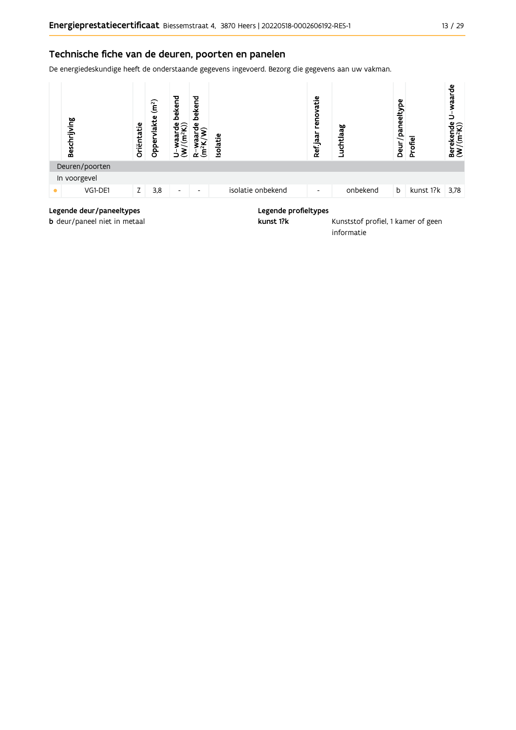#### Technische fiche van de deuren, poorten en panelen

De energiedeskundige heeft de onderstaande gegevens ingevoerd. Bezorg die gegevens aan uw vakman.



#### Legende deur/paneeltypes

b deur/paneel niet in metaal

#### Legende profieltypes

kunst 1?k

Kunststof profiel, 1 kamer of geen informatie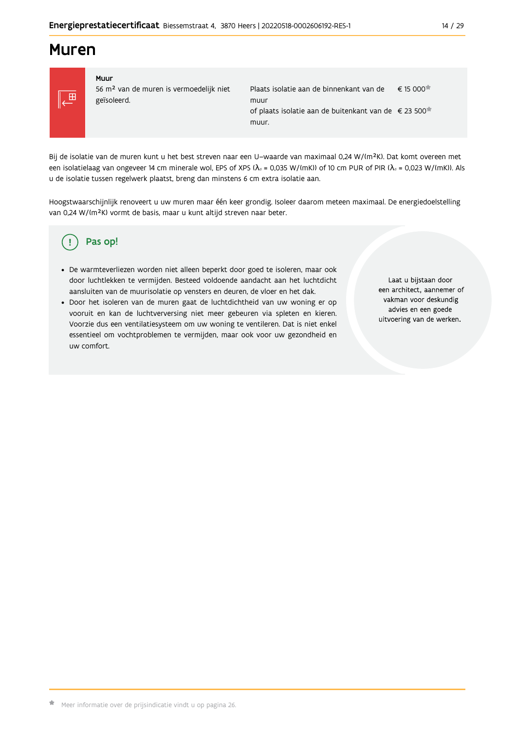## **Muren**



#### Muur 56 m<sup>2</sup> van de muren is vermoedelijk niet geïsoleerd.

Plaats isolatie aan de binnenkant van de  $\epsilon$  15 000 $\star$ muur of plaats isolatie aan de buitenkant van de € 23 500<sup>★</sup> muur.

Bij de isolatie van de muren kunt u het best streven naar een U-waarde van maximaal 0,24 W/(m<sup>2</sup>K). Dat komt overeen met een isolatielaag van ongeveer 14 cm minerale wol, EPS of XPS ( $\lambda_a$  = 0,035 W/(mK)) of 10 cm PUR of PIR ( $\lambda_a$  = 0,023 W/(mK)). Als u de isolatie tussen regelwerk plaatst, breng dan minstens 6 cm extra isolatie aan.

Hoogstwaarschijnlijk renoveert u uw muren maar één keer grondig. Isoleer daarom meteen maximaal. De energiedoelstelling van 0,24 W/(m<sup>2</sup>K) vormt de basis, maar u kunt altijd streven naar beter.

#### Pas op! Ţ

- · De warmteverliezen worden niet alleen beperkt door goed te isoleren, maar ook door luchtlekken te vermijden. Besteed voldoende aandacht aan het luchtdicht aansluiten van de muurisolatie op vensters en deuren, de vloer en het dak.
- · Door het isoleren van de muren gaat de luchtdichtheid van uw woning er op vooruit en kan de luchtverversing niet meer gebeuren via spleten en kieren. Voorzie dus een ventilatiesysteem om uw woning te ventileren. Dat is niet enkel essentieel om vochtproblemen te vermijden, maar ook voor uw gezondheid en uw comfort.

Laat u bijstaan door een architect, aannemer of vakman voor deskundig advies en een goede uitvoering van de werken.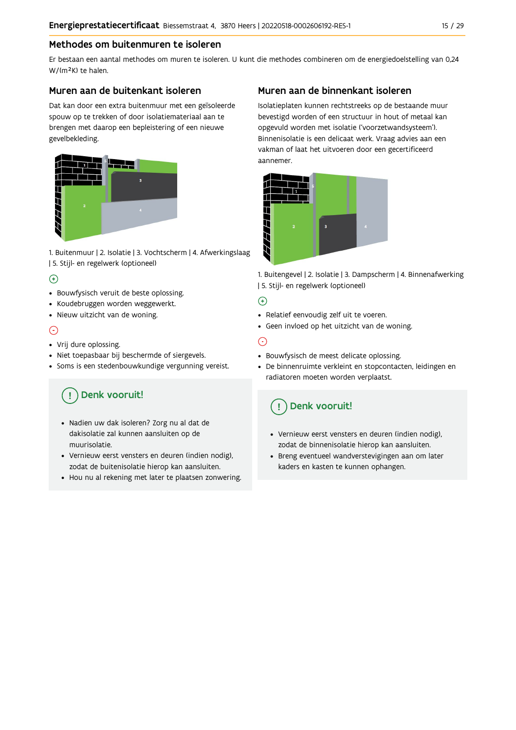### Methodes om buitenmuren te isoleren

Er bestaan een aantal methodes om muren te isoleren. U kunt die methodes combineren om de energiedoelstelling van 0,24 W/(m<sup>2</sup>K) te halen.

#### Muren aan de buitenkant isoleren

Dat kan door een extra buitenmuur met een geïsoleerde spouw op te trekken of door isolatiemateriaal aan te brengen met daarop een bepleistering of een nieuwe gevelbekleding.



1. Buitenmuur | 2. Isolatie | 3. Vochtscherm | 4. Afwerkingslaag | 5. Stijl- en regelwerk (optioneel)

### $\bigoplus$

- Bouwfysisch veruit de beste oplossing.
- Koudebruggen worden weggewerkt.
- · Nieuw uitzicht van de woning.

### $\odot$

#### • Vrij dure oplossing.

- · Niet toepasbaar bij beschermde of siergevels.
- Soms is een stedenbouwkundige vergunning vereist.

## Denk vooruit!

- · Nadien uw dak isoleren? Zorg nu al dat de dakisolatie zal kunnen aansluiten op de muurisolatie.
- · Vernieuw eerst vensters en deuren (indien nodig), zodat de buitenisolatie hierop kan aansluiten.
- Hou nu al rekening met later te plaatsen zonwering.

### Muren aan de binnenkant isoleren

Isolatieplaten kunnen rechtstreeks op de bestaande muur bevestigd worden of een structuur in hout of metaal kan opgevuld worden met isolatie ('voorzetwandsysteem'). Binnenisolatie is een delicaat werk. Vraag advies aan een vakman of laat het uitvoeren door een gecertificeerd aannemer



1. Buitengevel | 2. Isolatie | 3. Dampscherm | 4. Binnenafwerking | 5. Stijl- en regelwerk (optioneel)

#### $\bigoplus$

- Relatief eenvoudig zelf uit te voeren.
- Geen invloed op het uitzicht van de woning.

### ⊝

- Bouwfysisch de meest delicate oplossing.
- · De binnenruimte verkleint en stopcontacten, leidingen en radiatoren moeten worden verplaatst.

### Denk vooruit!

- Vernieuw eerst vensters en deuren (indien nodig), zodat de binnenisolatie hierop kan aansluiten.
- · Breng eventueel wandverstevigingen aan om later kaders en kasten te kunnen ophangen.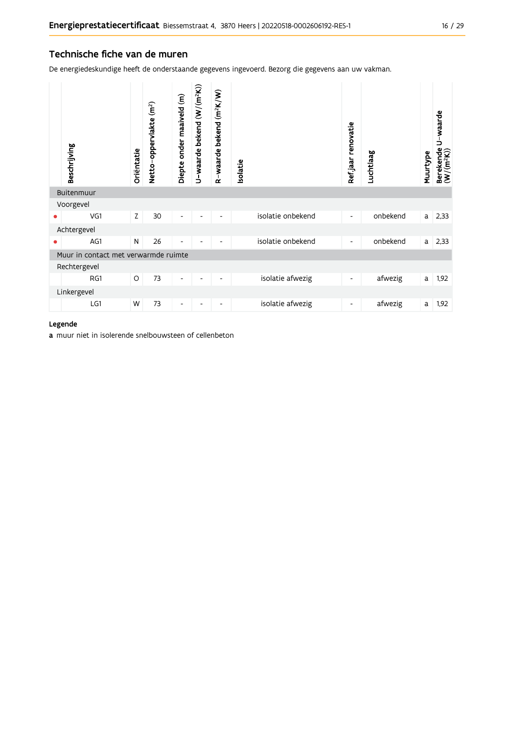#### Technische fiche van de muren

De energiedeskundige heeft de onderstaande gegevens ingevoerd. Bezorg die gegevens aan uw vakman.

|           | Beschrijving                         | Oriëntatie | Netto-oppervlakte (m <sup>2</sup> ) | Diepte onder maaiveld (m) | U-waarde bekend (W/(m <sup>2</sup> K)) | R-waarde bekend (m <sup>2</sup> K/W) | solatie |                   | Ref.jaar renovatie       | Luchtlaag | Muurtype | Berekende U-waarde<br>(W/(m <sup>2</sup> K)) |
|-----------|--------------------------------------|------------|-------------------------------------|---------------------------|----------------------------------------|--------------------------------------|---------|-------------------|--------------------------|-----------|----------|----------------------------------------------|
|           | Buitenmuur                           |            |                                     |                           |                                        |                                      |         |                   |                          |           |          |                                              |
|           | Voorgevel                            |            |                                     |                           |                                        |                                      |         |                   |                          |           |          |                                              |
|           | VG1                                  | Z          | 30                                  | -                         |                                        | $\overline{\phantom{a}}$             |         | isolatie onbekend | $\overline{\phantom{a}}$ | onbekend  | a        | 2,33                                         |
|           | Achtergevel                          |            |                                     |                           |                                        |                                      |         |                   |                          |           |          |                                              |
| $\bullet$ | AG1                                  | N          | 26                                  | -                         |                                        |                                      |         | isolatie onbekend | $\overline{\phantom{a}}$ | onbekend  | a        | 2,33                                         |
|           | Muur in contact met verwarmde ruimte |            |                                     |                           |                                        |                                      |         |                   |                          |           |          |                                              |
|           | Rechtergevel                         |            |                                     |                           |                                        |                                      |         |                   |                          |           |          |                                              |
|           | RG1                                  | O          | 73                                  | -                         | ٠                                      | $\overline{\phantom{a}}$             |         | isolatie afwezig  | $\overline{\phantom{a}}$ | afwezig   | a        | 1,92                                         |
|           | Linkergevel                          |            |                                     |                           |                                        |                                      |         |                   |                          |           |          |                                              |
|           | LG1                                  | W          | 73                                  | -                         |                                        | -                                    |         | isolatie afwezig  | $\overline{\phantom{a}}$ | afwezig   | a        | 1,92                                         |

#### Legende

a muur niet in isolerende snelbouwsteen of cellenbeton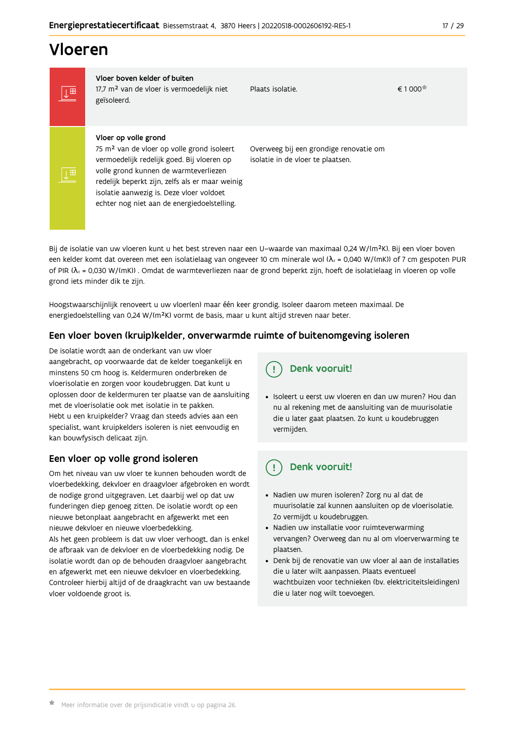## Vloeren

IT

|⊥⊞

Vloer boven kelder of buiten 17,7 m<sup>2</sup> van de vloer is vermoedelijk niet geïsoleerd.

Plaats isolatie.

 $\epsilon$  1 000 $\pm$ 

#### Vloer op volle grond

75 m<sup>2</sup> van de vloer op volle grond isoleert vermoedelijk redelijk goed. Bij vloeren op volle grond kunnen de warmteverliezen redelijk beperkt zijn, zelfs als er maar weinig isolatie aanwezig is. Deze vloer voldoet echter nog niet aan de energiedoelstelling.

Overweeg bij een grondige renovatie om isolatie in de vloer te plaatsen.

Bij de isolatie van uw vloeren kunt u het best streven naar een U-waarde van maximaal 0,24 W/(m<sup>2</sup>K). Bij een vloer boven een kelder komt dat overeen met een isolatielaag van ongeveer 10 cm minerale wol ( $\lambda_d$  = 0,040 W/(mK)) of 7 cm gespoten PUR of PIR ( $\lambda_0$  = 0,030 W/(mK)). Omdat de warmteverliezen naar de grond beperkt zijn, hoeft de isolatielaag in vloeren op volle grond iets minder dik te zijn.

Hoogstwaarschijnlijk renoveert u uw vloer(en) maar één keer grondig. Isoleer daarom meteen maximaal. De energiedoelstelling van 0,24 W/(m<sup>2</sup>K) vormt de basis, maar u kunt altijd streven naar beter.

#### Een vloer boven (kruip)kelder, onverwarmde ruimte of buitenomgeving isoleren

De isolatie wordt aan de onderkant van uw vloer aangebracht, op voorwaarde dat de kelder toegankelijk en minstens 50 cm hoog is. Keldermuren onderbreken de vloerisolatie en zorgen voor koudebruggen. Dat kunt u oplossen door de keldermuren ter plaatse van de aansluiting met de vloerisolatie ook met isolatie in te pakken. Hebt u een kruipkelder? Vraag dan steeds advies aan een specialist, want kruipkelders isoleren is niet eenvoudig en kan bouwfysisch delicaat zijn.

### Een vloer op volle grond isoleren

Om het niveau van uw vloer te kunnen behouden wordt de vloerbedekking, dekvloer en draagvloer afgebroken en wordt de nodige grond uitgegraven. Let daarbij wel op dat uw funderingen diep genoeg zitten. De isolatie wordt op een nieuwe betonplaat aangebracht en afgewerkt met een nieuwe dekyloer en nieuwe vloerbedekking.

Als het geen probleem is dat uw vloer verhoogt, dan is enkel de afbraak van de dekvloer en de vloerbedekking nodig. De isolatie wordt dan op de behouden draagvloer aangebracht en afgewerkt met een nieuwe dekvloer en vloerbedekking. Controleer hierbij altijd of de draagkracht van uw bestaande vloer voldoende groot is.

· Isoleert u eerst uw vloeren en dan uw muren? Hou dan nu al rekening met de aansluiting van de muurisolatie die u later gaat plaatsen. Zo kunt u koudebruggen vermijden.

#### Denk vooruit! ្ម

Denk vooruit!

- · Nadien uw muren isoleren? Zorg nu al dat de muurisolatie zal kunnen aansluiten op de vloerisolatie. Zo vermijdt u koudebruggen.
- Nadien uw installatie voor ruimteverwarming vervangen? Overweeg dan nu al om vloerverwarming te plaatsen.
- · Denk bij de renovatie van uw vloer al aan de installaties die u later wilt aanpassen. Plaats eventueel wachtbuizen voor technieken (bv. elektriciteitsleidingen) die u later nog wilt toevoegen.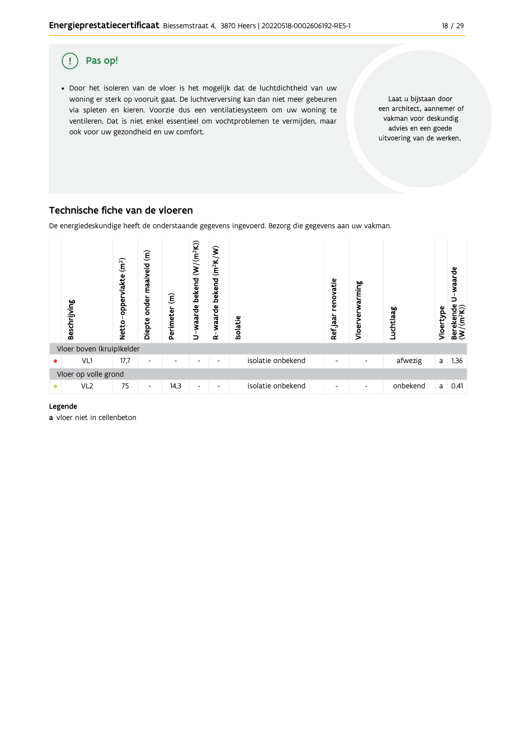

### Technische fiche van de vloeren

De energiedeskundige heeft de onderstaande gegevens ingevoerd. Bezorg die gegevens aan uw vakman.



#### Legende

a vloer niet in cellenbeton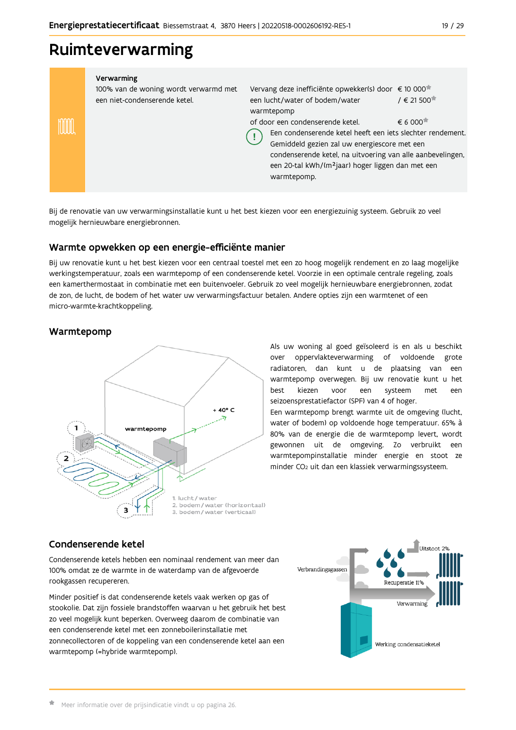### Ruimteverwarming

| Verwarming<br>100% van de woning wordt verwarmd met<br>een niet-condenserende ketel. | Vervang deze inefficiënte opwekker(s) door € 10 000 <sup>*</sup><br>een lucht/water of bodem/water<br>warmtepomp                                                                                                                                                                             | $/ \in 21500$                                |
|--------------------------------------------------------------------------------------|----------------------------------------------------------------------------------------------------------------------------------------------------------------------------------------------------------------------------------------------------------------------------------------------|----------------------------------------------|
|                                                                                      | of door een condenserende ketel.<br>Een condenserende ketel heeft een iets slechter rendement.<br>Gemiddeld gezien zal uw energiescore met een<br>condenserende ketel, na uitvoering van alle aanbevelingen,<br>een 20-tal kWh/(m <sup>2</sup> jaar) hoger liggen dan met een<br>warmtepomp. | $\epsilon$ 6 000 <sup><math>\pi</math></sup> |

Bij de renovatie van uw verwarmingsinstallatie kunt u het best kiezen voor een energiezuinig systeem. Gebruik zo veel mogelijk hernieuwbare energiebronnen.

#### Warmte opwekken op een energie-efficiënte manier

Bij uw renovatie kunt u het best kiezen voor een centraal toestel met een zo hoog mogelijk rendement en zo laag mogelijke werkingstemperatuur, zoals een warmtepomp of een condenserende ketel. Voorzie in een optimale centrale regeling, zoals een kamerthermostaat in combinatie met een buitenvoeler. Gebruik zo veel mogelijk hernieuwbare energiebronnen, zodat de zon, de lucht, de bodem of het water uw verwarmingsfactuur betalen. Andere opties zijn een warmtenet of een micro-warmte-krachtkoppeling.

#### Warmtepomp



Als uw woning al goed geïsoleerd is en als u beschikt over oppervlakteverwarming of voldoende grote radiatoren, dan kunt u de plaatsing van een warmtepomp overwegen. Bij uw renovatie kunt u het hest kiezen voor een systeem met een seizoensprestatiefactor (SPF) van 4 of hoger.

Een warmtepomp brengt warmte uit de omgeving (lucht, water of bodem) op voldoende hoge temperatuur. 65% à 80% van de energie die de warmtepomp levert, wordt gewonnen uit de omgeving. Zo verbruikt een warmtepompinstallatie minder energie en stoot ze minder CO<sub>2</sub> uit dan een klassiek verwarmingssysteem.

#### Condenserende ketel

Condenserende ketels hebben een nominaal rendement van meer dan 100% omdat ze de warmte in de waterdamp van de afgevoerde rookgassen recupereren.

Minder positief is dat condenserende ketels vaak werken op gas of stookolie. Dat zijn fossiele brandstoffen waarvan u het gebruik het best zo veel mogelijk kunt beperken. Overweeg daarom de combinatie van een condenserende ketel met een zonneboilerinstallatie met zonnecollectoren of de koppeling van een condenserende ketel aan een warmtepomp (=hybride warmtepomp).

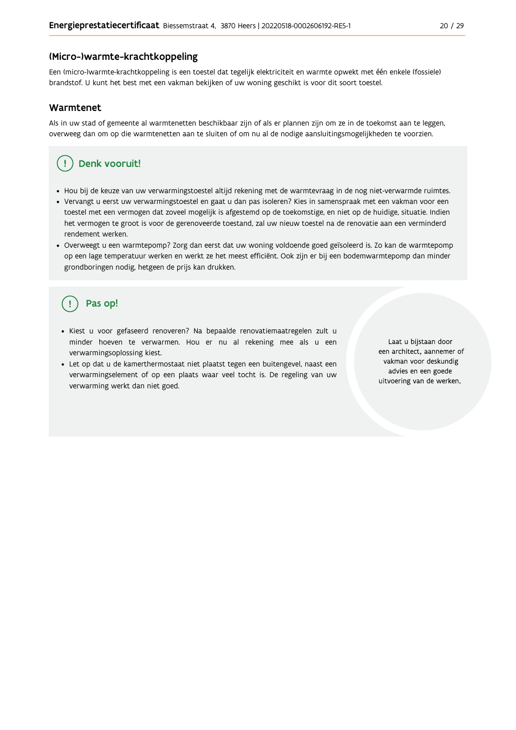#### (Micro-)warmte-krachtkoppeling

Een (micro-)warmte-krachtkoppeling is een toestel dat tegelijk elektriciteit en warmte opwekt met één enkele (fossiele) brandstof. U kunt het best met een vakman bekijken of uw woning geschikt is voor dit soort toestel.

#### Warmtenet

Als in uw stad of gemeente al warmtenetten beschikbaar zijn of als er plannen zijn om ze in de toekomst aan te leggen, overweeg dan om op die warmtenetten aan te sluiten of om nu al de nodige aansluitingsmogelijkheden te voorzien.

### Denk vooruit!

- · Hou bij de keuze van uw verwarmingstoestel altijd rekening met de warmtevraag in de nog niet-verwarmde ruimtes.
- Vervangt u eerst uw verwarmingstoestel en gaat u dan pas isoleren? Kies in samenspraak met een vakman voor een toestel met een vermogen dat zoveel mogelijk is afgestemd op de toekomstige, en niet op de huidige, situatie. Indien het vermogen te groot is voor de gerenoveerde toestand, zal uw nieuw toestel na de renovatie aan een verminderd rendement werken.
- · Overweegt u een warmtepomp? Zorg dan eerst dat uw woning voldoende goed geïsoleerd is. Zo kan de warmtepomp op een lage temperatuur werken en werkt ze het meest efficiënt. Ook zijn er bij een bodemwarmtepomp dan minder grondboringen nodig, hetgeen de prijs kan drukken.

## Pas op!

- · Kiest u voor gefaseerd renoveren? Na bepaalde renovatiemaatregelen zult u minder hoeven te verwarmen. Hou er nu al rekening mee als u een verwarmingsoplossing kiest.
- · Let op dat u de kamerthermostaat niet plaatst tegen een buitengevel, naast een verwarmingselement of op een plaats waar veel tocht is. De regeling van uw verwarming werkt dan niet goed.

Laat u bijstaan door een architect, aannemer of vakman voor deskundig advies en een goede uitvoering van de werken.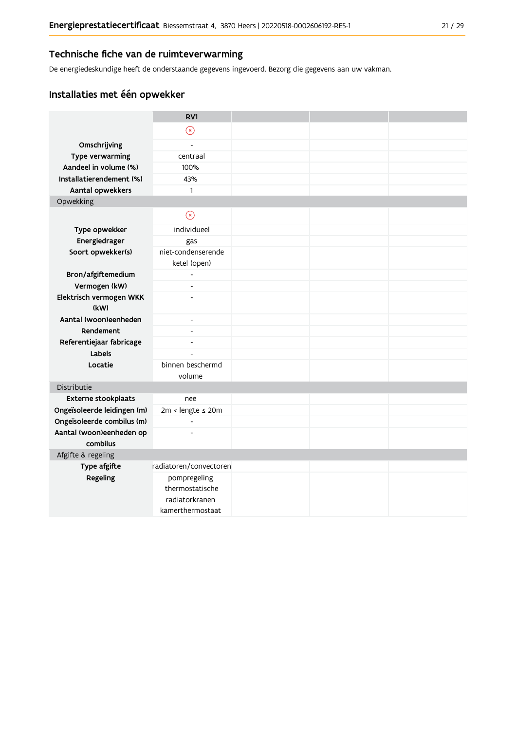#### Technische fiche van de ruimteverwarming

De energiedeskundige heeft de onderstaande gegevens ingevoerd. Bezorg die gegevens aan uw vakman.

### Installaties met één opwekker

|                                      | RV1                                |  |  |
|--------------------------------------|------------------------------------|--|--|
|                                      | $\circledR$                        |  |  |
| Omschrijving                         | $\overline{a}$                     |  |  |
| Type verwarming                      | centraal                           |  |  |
| Aandeel in volume (%)                | 100%                               |  |  |
| Installatierendement (%)             | 43%                                |  |  |
| Aantal opwekkers                     | 1                                  |  |  |
| Opwekking                            |                                    |  |  |
|                                      | $\odot$                            |  |  |
| Type opwekker                        | individueel                        |  |  |
| Energiedrager                        | gas                                |  |  |
| Soort opwekker(s)                    | niet-condenserende<br>ketel (open) |  |  |
| Bron/afgiftemedium                   | $\overline{a}$                     |  |  |
| Vermogen (kW)                        | $\overline{\phantom{a}}$           |  |  |
| Elektrisch vermogen WKK<br>(kW)      |                                    |  |  |
| Aantal (woon)eenheden                | $\overline{\phantom{a}}$           |  |  |
| Rendement                            | $\overline{\phantom{a}}$           |  |  |
| Referentiejaar fabricage             | $\overline{a}$                     |  |  |
| Labels                               |                                    |  |  |
| Locatie                              | binnen beschermd<br>volume         |  |  |
| Distributie                          |                                    |  |  |
| Externe stookplaats                  | nee                                |  |  |
| Ongeïsoleerde leidingen (m)          | 2m < lengte ≤ 20m                  |  |  |
| Ongeïsoleerde combilus (m)           | $\frac{1}{2}$                      |  |  |
| Aantal (woon)eenheden op<br>combilus |                                    |  |  |
| Afgifte & regeling                   |                                    |  |  |
| Type afgifte                         | radiatoren/convectoren             |  |  |
| Regeling                             | pompregeling                       |  |  |
|                                      | thermostatische                    |  |  |
|                                      | radiatorkranen                     |  |  |
|                                      | kamerthermostaat                   |  |  |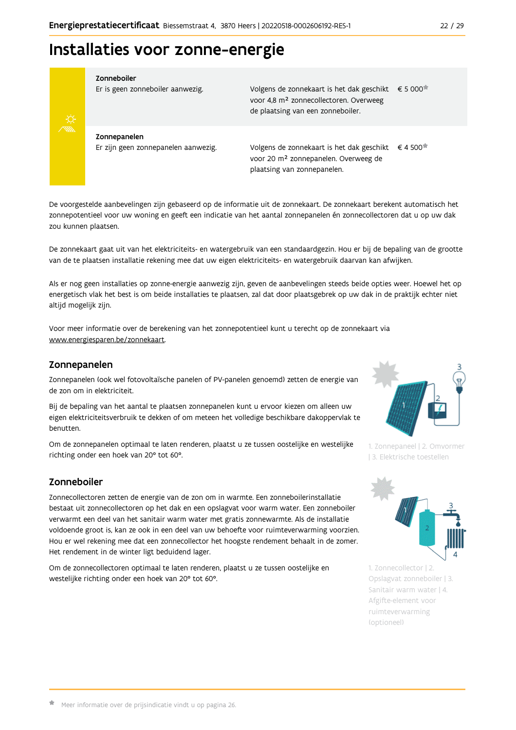## Installaties voor zonne-energie



Zonneboiler

Er is geen zonneboiler aanwezig.

Volgens de zonnekaart is het dak geschikt € 5 000 voor 4,8 m<sup>2</sup> zonnecollectoren. Overweeg de plaatsing van een zonneboiler.

Zonnepanelen Er zijn geen zonnepanelen aanwezig.

Volgens de zonnekaart is het dak geschikt  $\epsilon$  4 500<sup> $\star$ </sup> voor 20 m<sup>2</sup> zonnepanelen. Overweeg de plaatsing van zonnepanelen.

De voorgestelde aanbevelingen zijn gebaseerd op de informatie uit de zonnekaart. De zonnekaart berekent automatisch het zonnepotentieel voor uw woning en geeft een indicatie van het aantal zonnepanelen én zonnecollectoren dat u op uw dak zou kunnen plaatsen.

De zonnekaart gaat uit van het elektriciteits- en watergebruik van een standaardgezin. Hou er bij de bepaling van de grootte van de te plaatsen installatie rekening mee dat uw eigen elektriciteits- en watergebruik daarvan kan afwijken.

Als er nog geen installaties op zonne-energie aanwezig zijn, geven de aanbevelingen steeds beide opties weer. Hoewel het op energetisch vlak het best is om beide installaties te plaatsen, zal dat door plaatsgebrek op uw dak in de praktijk echter niet altijd mogelijk zijn.

Voor meer informatie over de berekening van het zonnepotentieel kunt u terecht op de zonnekaart via www.energiesparen.be/zonnekaart.

#### Zonnepanelen

Zonnepanelen (ook wel fotovoltaïsche panelen of PV-panelen genoemd) zetten de energie van de zon om in elektriciteit.

Bij de bepaling van het aantal te plaatsen zonnepanelen kunt u ervoor kiezen om alleen uw eigen elektriciteitsverbruik te dekken of om meteen het volledige beschikbare dakoppervlak te henutten

Om de zonnepanelen optimaal te laten renderen, plaatst u ze tussen oostelijke en westelijke richting onder een hoek van 20° tot 60°.

### Zonneboiler

Zonnecollectoren zetten de energie van de zon om in warmte. Een zonneboilerinstallatie bestaat uit zonnecollectoren op het dak en een opslagvat voor warm water. Een zonneboiler verwarmt een deel van het sanitair warm water met gratis zonnewarmte. Als de installatie voldoende groot is, kan ze ook in een deel van uw behoefte voor ruimteverwarming voorzien. Hou er wel rekening mee dat een zonnecollector het hoogste rendement behaalt in de zomer. Het rendement in de winter ligt beduidend lager.

Om de zonnecollectoren optimaal te laten renderen, plaatst u ze tussen oostelijke en westelijke richting onder een hoek van 20° tot 60°.



1. Zonnepaneel | 2. Omvormer | 3. Elektrische toestellen



1. Zonnecollector | 2. Opslagvat zonneboiler | 3. Sanitair warm water | 4. Afgifte-element voor ruimteverwarming (optioneel)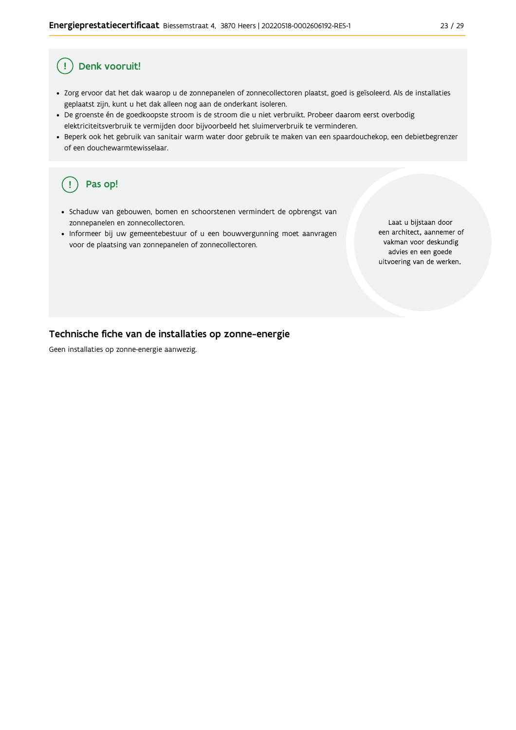#### Denk vooruit! Ţ

- · Zorg ervoor dat het dak waarop u de zonnepanelen of zonnecollectoren plaatst, goed is geïsoleerd. Als de installaties geplaatst zijn, kunt u het dak alleen nog aan de onderkant isoleren.
- · De groenste én de goedkoopste stroom is de stroom die u niet verbruikt. Probeer daarom eerst overbodig elektriciteitsverbruik te vermijden door bijvoorbeeld het sluimerverbruik te verminderen.
- · Beperk ook het gebruik van sanitair warm water door gebruik te maken van een spaardouchekop, een debietbegrenzer of een douchewarmtewisselaar.

#### Pas op! ( !

- · Schaduw van gebouwen, bomen en schoorstenen vermindert de opbrengst van zonnepanelen en zonnecollectoren.
- Informeer bij uw gemeentebestuur of u een bouwvergunning moet aanvragen voor de plaatsing van zonnepanelen of zonnecollectoren.

Laat u bijstaan door een architect, aannemer of vakman voor deskundig advies en een goede uitvoering van de werken.

#### Technische fiche van de installaties op zonne-energie

Geen installaties op zonne-energie aanwezig.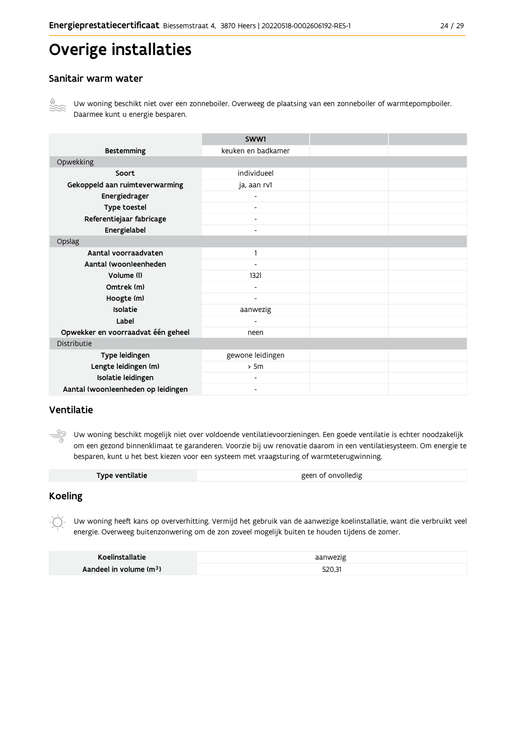## Overige installaties

#### Sanitair warm water



Uw woning beschikt niet over een zonneboiler. Overweeg de plaatsing van een zonneboiler of warmtepompboiler. Daarmee kunt u energie besparen.

|                                    | SWW1                         |  |
|------------------------------------|------------------------------|--|
| <b>Bestemming</b>                  | keuken en badkamer           |  |
| Opwekking                          |                              |  |
| Soort                              | individueel                  |  |
| Gekoppeld aan ruimteverwarming     | ja, aan rv1                  |  |
| Energiedrager                      |                              |  |
| Type toestel                       |                              |  |
| Referentiejaar fabricage           | $\qquad \qquad \blacksquare$ |  |
| Energielabel                       | $\overline{\phantom{0}}$     |  |
| Opslag                             |                              |  |
| Aantal voorraadvaten               | 1                            |  |
| Aantal (woon)eenheden              |                              |  |
| Volume (I)                         | 1321                         |  |
| Omtrek (m)                         | $\overline{\phantom{0}}$     |  |
| Hoogte (m)                         | $\blacksquare$               |  |
| Isolatie                           | aanwezig                     |  |
| Label                              |                              |  |
| Opwekker en voorraadvat één geheel | neen                         |  |
| Distributie                        |                              |  |
| Type leidingen                     | gewone leidingen             |  |
| Lengte leidingen (m)               | > 5m                         |  |
| Isolatie leidingen                 |                              |  |
| Aantal (woon)eenheden op leidingen | -                            |  |

#### Ventilatie

 $\frac{90}{1}$ Uw woning beschikt mogelijk niet over voldoende ventilatievoorzieningen. Een goede ventilatie is echter noodzakelijk om een gezond binnenklimaat te garanderen. Voorzie bij uw renovatie daarom in een ventilatiesysteem. Om energie te besparen, kunt u het best kiezen voor een systeem met vraagsturing of warmteterugwinning.

| Type ventilatie | geen of onvolledig |  |
|-----------------|--------------------|--|
|-----------------|--------------------|--|

#### **Koeling**

-T

Uw woning heeft kans op oververhitting. Vermijd het gebruik van de aanwezige koelinstallatie, want die verbruikt veel energie. Overweeg buitenzonwering om de zon zoveel mogelijk buiten te houden tijdens de zomer.

| <b>Koelinstallatie</b>              | aanwezig |
|-------------------------------------|----------|
| Aandeel in volume (m <sup>3</sup> ) | 520,31   |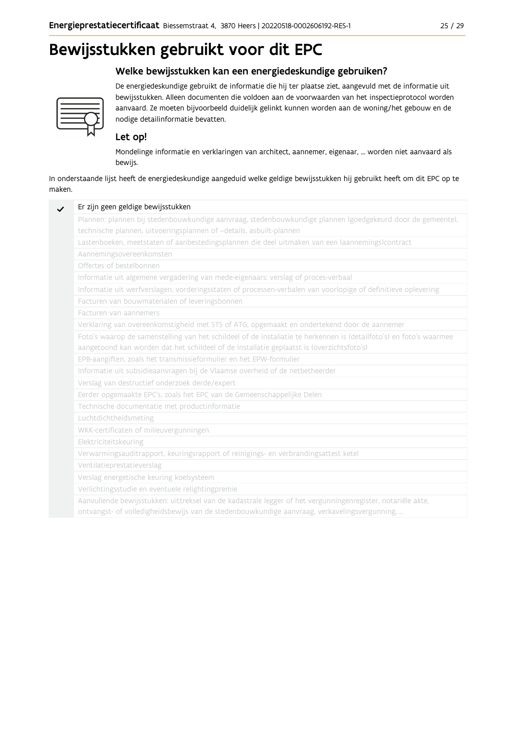## Bewijsstukken gebruikt voor dit EPC

### Welke bewijsstukken kan een energiedeskundige gebruiken?



De energiedeskundige gebruikt de informatie die hij ter plaatse ziet, aangevuld met de informatie uit bewijsstukken. Alleen documenten die voldoen aan de voorwaarden van het inspectieprotocol worden aanvaard. Ze moeten bijvoorbeeld duidelijk gelinkt kunnen worden aan de woning/het gebouw en de nodige detailinformatie bevatten.

### Let op!

Mondelinge informatie en verklaringen van architect, aannemer, eigenaar, ... worden niet aanvaard als bewijs.

In onderstaande lijst heeft de energiedeskundige aangeduid welke geldige bewijsstukken hij gebruikt heeft om dit EPC op te maken.

| Plannen: plannen bij stedenbouwkundige aanvraag, stedenbouwkundige plannen (goedgekeurd door de gemeente),          |
|---------------------------------------------------------------------------------------------------------------------|
| technische plannen, uitvoeringsplannen of -details, asbuilt-plannen                                                 |
| Lastenboeken, meetstaten of aanbestedingsplannen die deel uitmaken van een (aannemings)contract                     |
| Aannemingsovereenkomsten                                                                                            |
| Offertes of bestelbonnen                                                                                            |
| Informatie uit algemene vergadering van mede-eigenaars: verslag of proces-verbaal                                   |
| Informatie uit werfverslagen, vorderingsstaten of processen-verbalen van voorlopige of definitieve oplevering       |
| Facturen van bouwmaterialen of leveringsbonnen                                                                      |
| Facturen van aannemers                                                                                              |
| Verklaring van overeenkomstigheid met STS of ATG, opgemaakt en ondertekend door de aannemer                         |
| Foto's waarop de samenstelling van het schildeel of de installatie te herkennen is (detailfoto's) en foto's waarmee |
| aangetoond kan worden dat het schildeel of de installatie geplaatst is (overzichtsfoto's)                           |
| EPB-aangiften, zoals het transmissieformulier en het EPW-formulier                                                  |
| Informatie uit subsidieaanvragen bij de Vlaamse overheid of de netbetheerder                                        |
| Verslag van destructief onderzoek derde/expert                                                                      |
| Eerder opgemaakte EPC's, zoals het EPC van de Gemeenschappelijke Delen                                              |
| Technische documentatie met productinformatie                                                                       |
| Luchtdichtheidsmeting                                                                                               |
| WKK-certificaten of milieuvergunningen                                                                              |
| Elektriciteitskeuring                                                                                               |
| Verwarmingsauditrapport, keuringsrapport of reinigings- en verbrandingsattest ketel                                 |
| Ventilatieprestatieverslag                                                                                          |
| Verslag energetische keuring koelsysteem                                                                            |
| Verlichtingsstudie en eventuele relightingpremie                                                                    |
| Aanvullende bewijsstukken: uittreksel van de kadastrale legger of het vergunningenregister, notariële akte,         |
| ontvangst- of volledigheidsbewijs van de stedenbouwkundige aanvraag, verkavelingsvergunning,                        |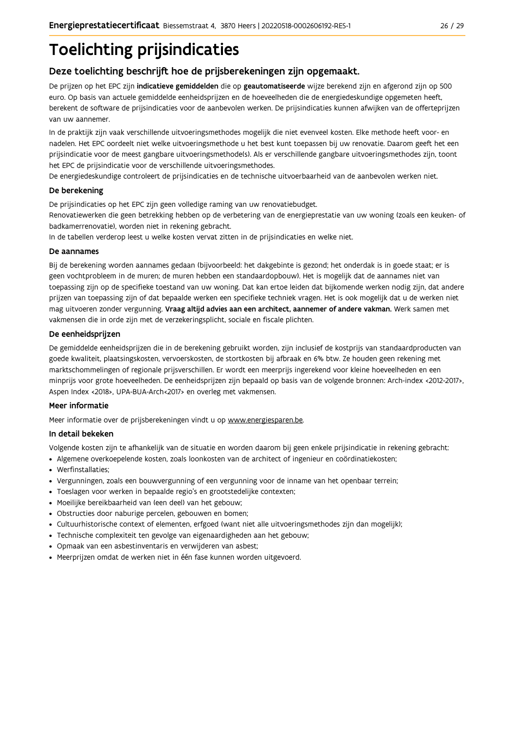# **Toelichting prijsindicaties**

### Deze toelichting beschrijft hoe de prijsberekeningen zijn opgemaakt.

De prijzen op het EPC zijn indicatieve gemiddelden die op geautomatiseerde wijze berekend zijn en afgerond zijn op 500 euro. Op basis van actuele gemiddelde eenheidsprijzen en de hoeveelheden die de energiedeskundige opgemeten heeft, berekent de software de prijsindicaties voor de aanbevolen werken. De prijsindicaties kunnen afwijken van de offerteprijzen van uw aannemer.

In de praktijk zijn vaak verschillende uitvoeringsmethodes mogelijk die niet evenveel kosten. Elke methode heeft voor- en nadelen. Het EPC oordeelt niet welke uitvoeringsmethode u het best kunt toepassen bij uw renovatie. Daarom geeft het een prijsindicatie voor de meest gangbare uitvoeringsmethode(s). Als er verschillende gangbare uitvoeringsmethodes zijn, toont het EPC de prijsindicatie voor de verschillende uitvoeringsmethodes.

De energiedeskundige controleert de prijsindicaties en de technische uitvoerbaarheid van de aanbevolen werken niet.

#### De berekening

De prijsindicaties op het EPC zijn geen volledige raming van uw renovatiebudget.

Renovatiewerken die geen betrekking hebben op de verbetering van de energieprestatie van uw woning (zoals een keuken- of badkamerrenovatie), worden niet in rekening gebracht.

In de tabellen verderop leest u welke kosten vervat zitten in de prijsindicaties en welke niet.

#### De aannames

Bij de berekening worden aannames gedaan (bijvoorbeeld: het dakgebinte is gezond; het onderdak is in goede staat; er is geen vochtprobleem in de muren; de muren hebben een standaardopbouw). Het is mogelijk dat de aannames niet van toepassing zijn op de specifieke toestand van uw woning. Dat kan ertoe leiden dat bijkomende werken nodig zijn, dat andere prijzen van toepassing zijn of dat bepaalde werken een specifieke techniek vragen. Het is ook mogelijk dat u de werken niet mag uitvoeren zonder vergunning. Vraag altijd advies aan een architect, aannemer of andere vakman. Werk samen met vakmensen die in orde zijn met de verzekeringsplicht, sociale en fiscale plichten.

#### De eenheidsprijzen

De gemiddelde eenheidspriizen die in de berekening gebruikt worden, zijn inclusief de kostpriis van standaardproducten van goede kwaliteit, plaatsingskosten, vervoerskosten, de stortkosten bij afbraak en 6% btw. Ze houden geen rekening met marktschommelingen of regionale prijsverschillen. Er wordt een meerprijs ingerekend voor kleine hoeveelheden en een minprijs voor grote hoeveelheden. De eenheidsprijzen zijn bepaald op basis van de volgende bronnen: Arch-index <2012-2017>, Aspen Index <2018>, UPA-BUA-Arch<2017> en overleg met vakmensen.

#### Meer informatie

Meer informatie over de prijsberekeningen vindt u op www.energiesparen.be.

#### In detail bekeken

Volgende kosten zijn te afhankelijk van de situatie en worden daarom bij geen enkele prijsindicatie in rekening gebracht:

- Algemene overkoepelende kosten, zoals loonkosten van de architect of ingenieur en coördinatiekosten;
- Werfinstallaties:
- · Vergunningen, zoals een bouwvergunning of een vergunning voor de inname van het openbaar terrein;
- Toeslagen voor werken in bepaalde regio's en grootstedelijke contexten:
- · Moeilijke bereikbaarheid van (een deel) van het gebouw;
- · Obstructies door naburige percelen, gebouwen en bomen;
- · Cultuurhistorische context of elementen, erfgoed (want niet alle uitvoeringsmethodes zijn dan mogelijk);
- · Technische complexiteit ten gevolge van eigenaardigheden aan het gebouw;
- · Opmaak van een asbestinventaris en verwijderen van asbest;
- · Meerprijzen omdat de werken niet in één fase kunnen worden uitgevoerd.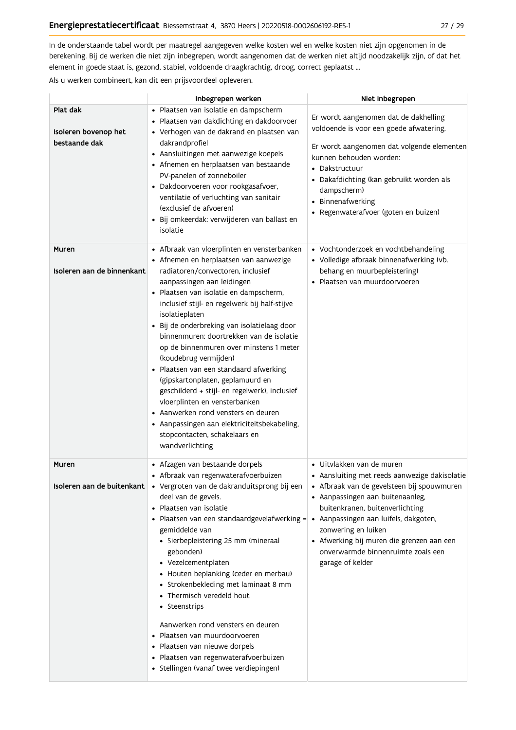In de onderstaande tabel wordt per maatregel aangegeven welke kosten wel en welke kosten niet zijn opgenomen in de berekening. Bij de werken die niet zijn inbegrepen, wordt aangenomen dat de werken niet altijd noodzakelijk zijn, of dat het element in goede staat is, gezond, stabiel, voldoende draagkrachtig, droog, correct geplaatst ...

Als u werken combineert, kan dit een prijsvoordeel opleveren.

|                                                   | Inbegrepen werken                                                                                                                                                                                                                                                                                                                                                                                                                                                                                                                                                                                                                                                                                                                               | Niet inbegrepen                                                                                                                                                                                                                                                                                                               |
|---------------------------------------------------|-------------------------------------------------------------------------------------------------------------------------------------------------------------------------------------------------------------------------------------------------------------------------------------------------------------------------------------------------------------------------------------------------------------------------------------------------------------------------------------------------------------------------------------------------------------------------------------------------------------------------------------------------------------------------------------------------------------------------------------------------|-------------------------------------------------------------------------------------------------------------------------------------------------------------------------------------------------------------------------------------------------------------------------------------------------------------------------------|
| Plat dak<br>Isoleren bovenop het<br>bestaande dak | · Plaatsen van isolatie en dampscherm<br>· Plaatsen van dakdichting en dakdoorvoer<br>· Verhogen van de dakrand en plaatsen van<br>dakrandprofiel<br>• Aansluitingen met aanwezige koepels<br>• Afnemen en herplaatsen van bestaande<br>PV-panelen of zonneboiler<br>· Dakdoorvoeren voor rookgasafvoer,<br>ventilatie of verluchting van sanitair<br>(exclusief de afvoeren)<br>· Bij omkeerdak: verwijderen van ballast en<br>isolatie                                                                                                                                                                                                                                                                                                        | Er wordt aangenomen dat de dakhelling<br>voldoende is voor een goede afwatering.<br>Er wordt aangenomen dat volgende elementen<br>kunnen behouden worden:<br>• Dakstructuur<br>· Dakafdichting (kan gebruikt worden als<br>dampscherm)<br>• Binnenafwerking<br>• Regenwaterafvoer (goten en buizen)                           |
| Muren<br>Isoleren aan de binnenkant               | • Afbraak van vloerplinten en vensterbanken<br>• Afnemen en herplaatsen van aanwezige<br>radiatoren/convectoren, inclusief<br>aanpassingen aan leidingen<br>· Plaatsen van isolatie en dampscherm,<br>inclusief stijl- en regelwerk bij half-stijve<br>isolatieplaten<br>· Bij de onderbreking van isolatielaag door<br>binnenmuren: doortrekken van de isolatie<br>op de binnenmuren over minstens 1 meter<br>(koudebrug vermijden)<br>· Plaatsen van een standaard afwerking<br>(gipskartonplaten, geplamuurd en<br>geschilderd + stijl- en regelwerk), inclusief<br>vloerplinten en vensterbanken<br>• Aanwerken rond vensters en deuren<br>• Aanpassingen aan elektriciteitsbekabeling,<br>stopcontacten, schakelaars en<br>wandverlichting | • Vochtonderzoek en vochtbehandeling<br>• Volledige afbraak binnenafwerking (vb.<br>behang en muurbepleistering)<br>· Plaatsen van muurdoorvoeren                                                                                                                                                                             |
| Muren<br>Isoleren aan de buitenkant               | • Afzagen van bestaande dorpels<br>• Afbraak van regenwaterafvoerbuizen<br>· Vergroten van de dakranduitsprong bij een<br>deel van de gevels.<br>· Plaatsen van isolatie<br>• Plaatsen van een standaardgevelafwerking = • Aanpassingen aan luifels, dakgoten,<br>gemiddelde van<br>• Sierbepleistering 25 mm (mineraal<br>gebonden)<br>• Vezelcementplaten<br>• Houten beplanking (ceder en merbau)<br>• Strokenbekleding met laminaat 8 mm<br>• Thermisch veredeld hout<br>• Steenstrips<br>Aanwerken rond vensters en deuren<br>· Plaatsen van muurdoorvoeren<br>· Plaatsen van nieuwe dorpels<br>· Plaatsen van regenwaterafvoerbuizen<br>· Stellingen (vanaf twee verdiepingen)                                                            | · Uitvlakken van de muren<br>• Aansluiting met reeds aanwezige dakisolatie<br>· Afbraak van de gevelsteen bij spouwmuren<br>• Aanpassingen aan buitenaanleg,<br>buitenkranen, buitenverlichting<br>zonwering en luiken<br>• Afwerking bij muren die grenzen aan een<br>onverwarmde binnenruimte zoals een<br>garage of kelder |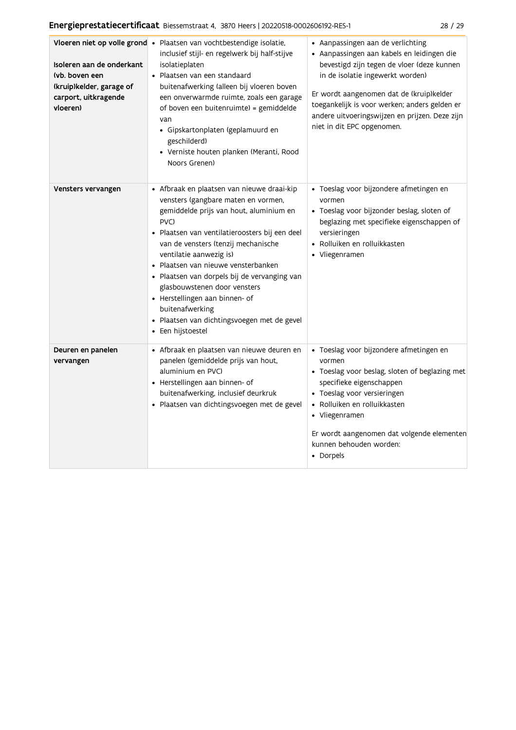| Isoleren aan de onderkant<br>(vb. boven een<br>(kruip)kelder, garage of<br>carport, uitkragende<br>vloeren) | Vloeren niet op volle grond · Plaatsen van vochtbestendige isolatie,<br>inclusief stijl- en regelwerk bij half-stijve<br>isolatieplaten<br>• Plaatsen van een standaard<br>buitenafwerking (alleen bij vloeren boven<br>een onverwarmde ruimte, zoals een garage<br>of boven een buitenruimte) = gemiddelde<br>van<br>· Gipskartonplaten (geplamuurd en<br>geschilderd)<br>• Verniste houten planken (Meranti, Rood<br>Noors Grenen)                                                                     | • Aanpassingen aan de verlichting<br>· Aanpassingen aan kabels en leidingen die<br>bevestigd zijn tegen de vloer (deze kunnen<br>in de isolatie ingewerkt worden)<br>Er wordt aangenomen dat de (kruip)kelder<br>toegankelijk is voor werken; anders gelden er<br>andere uitvoeringswijzen en prijzen. Deze zijn<br>niet in dit EPC opgenomen. |
|-------------------------------------------------------------------------------------------------------------|----------------------------------------------------------------------------------------------------------------------------------------------------------------------------------------------------------------------------------------------------------------------------------------------------------------------------------------------------------------------------------------------------------------------------------------------------------------------------------------------------------|------------------------------------------------------------------------------------------------------------------------------------------------------------------------------------------------------------------------------------------------------------------------------------------------------------------------------------------------|
| Vensters vervangen                                                                                          | • Afbraak en plaatsen van nieuwe draai-kip<br>vensters (gangbare maten en vormen,<br>gemiddelde prijs van hout, aluminium en<br>PVC)<br>· Plaatsen van ventilatieroosters bij een deel<br>van de vensters (tenzij mechanische<br>ventilatie aanwezig is)<br>· Plaatsen van nieuwe vensterbanken<br>· Plaatsen van dorpels bij de vervanging van<br>glasbouwstenen door vensters<br>• Herstellingen aan binnen- of<br>buitenafwerking<br>· Plaatsen van dichtingsvoegen met de gevel<br>• Een hijstoestel | · Toeslag voor bijzondere afmetingen en<br>vormen<br>· Toeslag voor bijzonder beslag, sloten of<br>beglazing met specifieke eigenschappen of<br>versieringen<br>• Rolluiken en rolluikkasten<br>• Vliegenramen                                                                                                                                 |
| Deuren en panelen<br>vervangen                                                                              | • Afbraak en plaatsen van nieuwe deuren en<br>panelen (gemiddelde prijs van hout,<br>aluminium en PVC)<br>• Herstellingen aan binnen- of<br>buitenafwerking, inclusief deurkruk<br>· Plaatsen van dichtingsvoegen met de gevel                                                                                                                                                                                                                                                                           | · Toeslag voor bijzondere afmetingen en<br>vormen<br>• Toeslag voor beslag, sloten of beglazing met<br>specifieke eigenschappen<br>• Toeslag voor versieringen<br>• Rolluiken en rolluikkasten<br>• Vliegenramen<br>Er wordt aangenomen dat volgende elementen<br>kunnen behouden worden:<br>• Dorpels                                         |